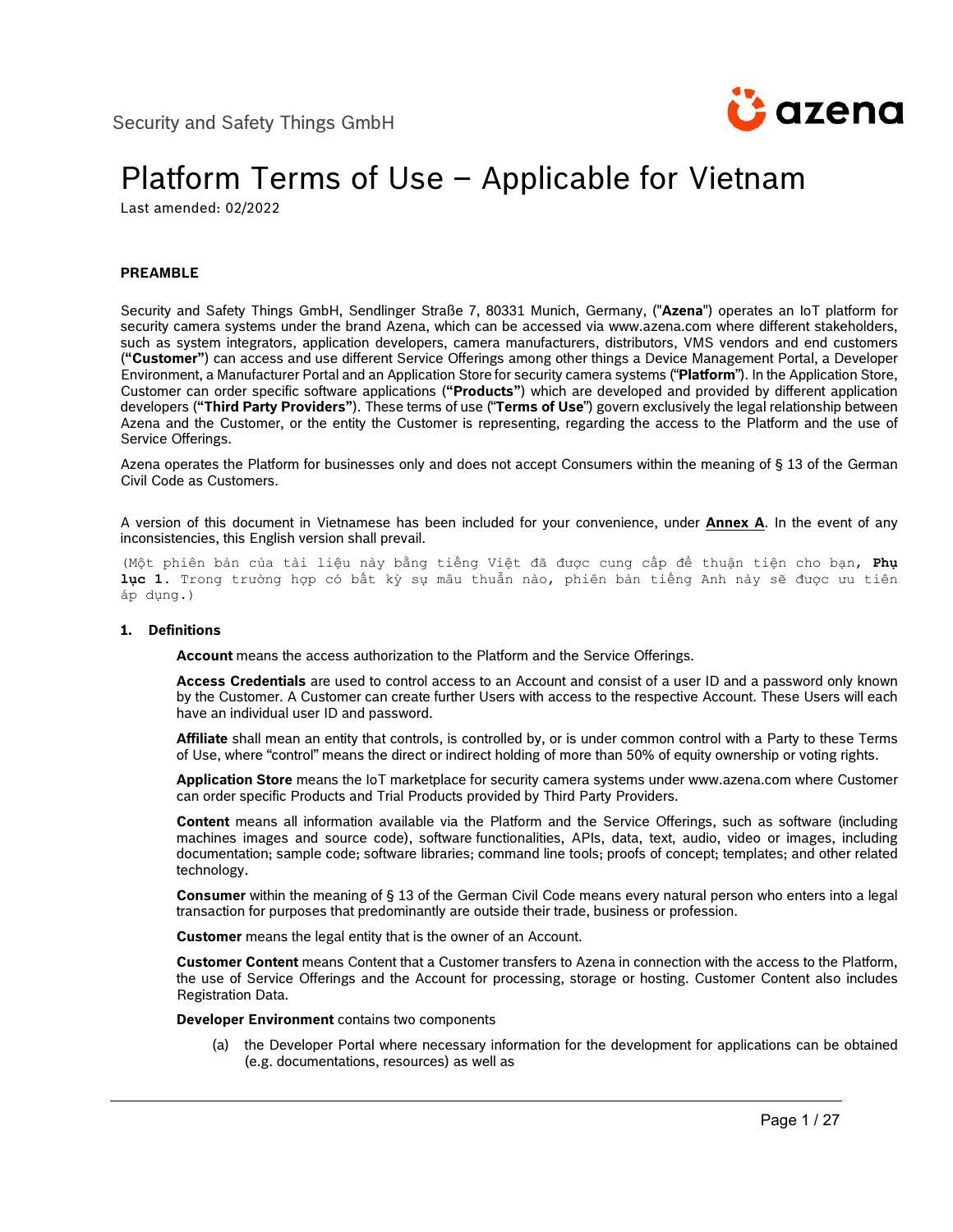

# Platform Terms of Use – Applicable for Vietnam

Last amended: 02/2022

## **PREAMBLE**

Security and Safety Things GmbH, Sendlinger Straße 7, 80331 Munich, Germany, ("**Azena**") operates an IoT platform for security camera systems under the brand Azena, which can be accessed via www.azena.com where different stakeholders, such as system integrators, application developers, camera manufacturers, distributors, VMS vendors and end customers (**"Customer"**) can access and use different Service Offerings among other things a Device Management Portal, a Developer Environment, a Manufacturer Portal and an Application Store for security camera systems ("**Platform**"). In the Application Store, Customer can order specific software applications (**"Products"**) which are developed and provided by different application developers (**"Third Party Providers"**). These terms of use ("**Terms of Use**") govern exclusively the legal relationship between Azena and the Customer, or the entity the Customer is representing, regarding the access to the Platform and the use of Service Offerings.

Azena operates the Platform for businesses only and does not accept Consumers within the meaning of § 13 of the German Civil Code as Customers.

A version of this document in Vietnamese has been included for your convenience, under **Annex A**. In the event of any inconsistencies, this English version shall prevail.

(Một phiên bản của tài liệu này bằng tiếng Việt đã được cung cấp để thuận tiện cho bạn, **Phụ lục 1**. Trong trường hợp có bất kỳ sự mâu thuẫn nào, phiên bản tiếng Anh này sẽ được ưu tiên áp dụng.)

#### **1. Definitions**

**Account** means the access authorization to the Platform and the Service Offerings.

**Access Credentials** are used to control access to an Account and consist of a user ID and a password only known by the Customer. A Customer can create further Users with access to the respective Account. These Users will each have an individual user ID and password.

**Affiliate** shall mean an entity that controls, is controlled by, or is under common control with a Party to these Terms of Use, where "control" means the direct or indirect holding of more than 50% of equity ownership or voting rights.

**Application Store** means the IoT marketplace for security camera systems under www.azena.com where Customer can order specific Products and Trial Products provided by Third Party Providers.

**Content** means all information available via the Platform and the Service Offerings, such as software (including machines images and source code), software functionalities, APIs, data, text, audio, video or images, including documentation; sample code; software libraries; command line tools; proofs of concept; templates; and other related technology.

**Consumer** within the meaning of § 13 of the German Civil Code means every natural person who enters into a legal transaction for purposes that predominantly are outside their trade, business or profession.

**Customer** means the legal entity that is the owner of an Account.

**Customer Content** means Content that a Customer transfers to Azena in connection with the access to the Platform, the use of Service Offerings and the Account for processing, storage or hosting. Customer Content also includes Registration Data.

**Developer Environment** contains two components

(a) the Developer Portal where necessary information for the development for applications can be obtained (e.g. documentations, resources) as well as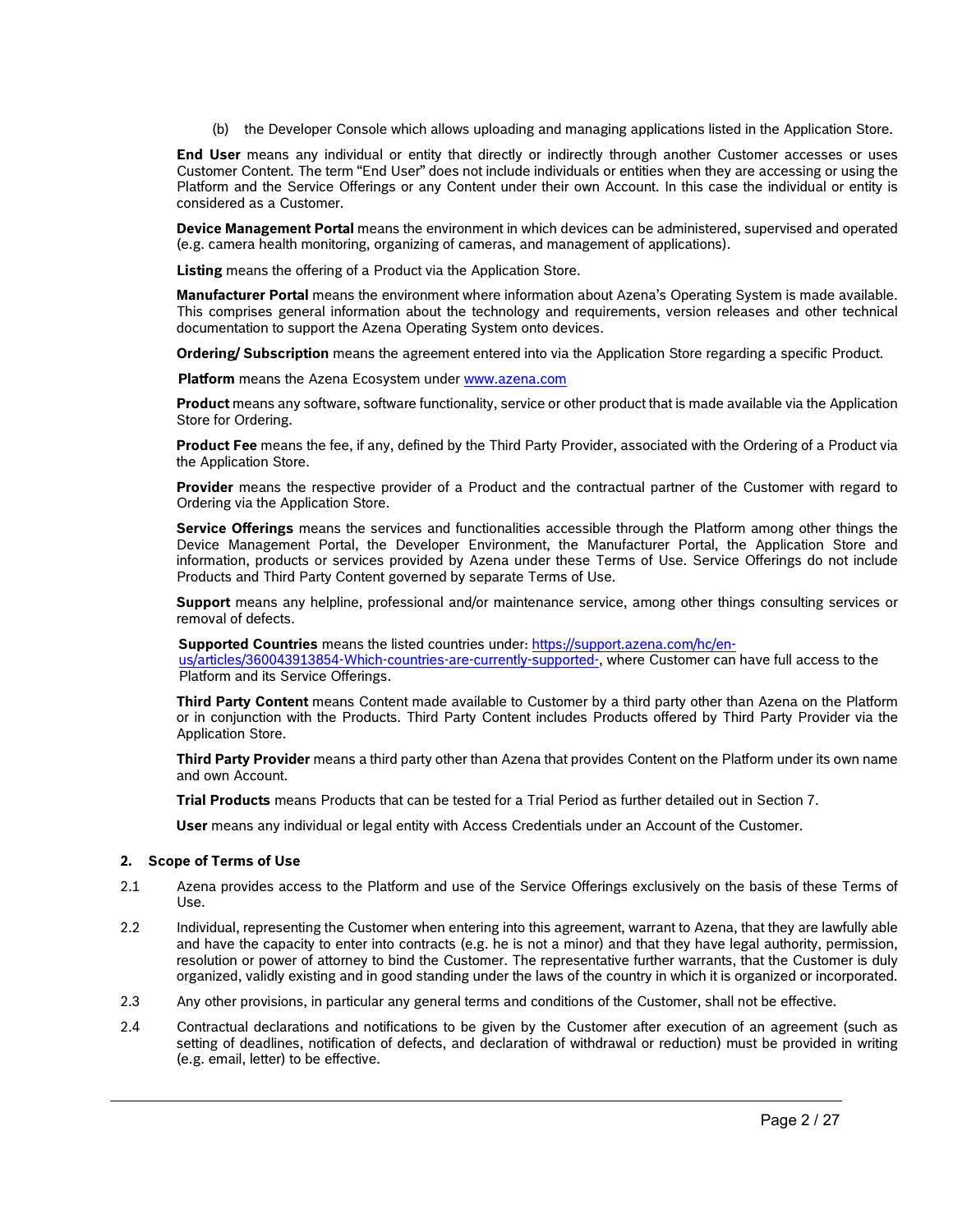(b) the Developer Console which allows uploading and managing applications listed in the Application Store.

**End User** means any individual or entity that directly or indirectly through another Customer accesses or uses Customer Content. The term "End User" does not include individuals or entities when they are accessing or using the Platform and the Service Offerings or any Content under their own Account. In this case the individual or entity is considered as a Customer.

**Device Management Portal** means the environment in which devices can be administered, supervised and operated (e.g. camera health monitoring, organizing of cameras, and management of applications).

**Listing** means the offering of a Product via the Application Store.

**Manufacturer Portal** means the environment where information about Azena's Operating System is made available. This comprises general information about the technology and requirements, version releases and other technical documentation to support the Azena Operating System onto devices.

**Ordering/ Subscription** means the agreement entered into via the Application Store regarding a specific Product.

**Platform** means the Azena Ecosystem under [www.azena.com](file://grb1fs01/commcls$/Bayer/SAST/App%20Store/Nutzungsbedingungen/Revision%20November%202021/www.azena.com)

**Product** means any software, software functionality, service or other product that is made available via the Application Store for Ordering.

**Product Fee** means the fee, if any, defined by the Third Party Provider, associated with the Ordering of a Product via the Application Store.

**Provider** means the respective provider of a Product and the contractual partner of the Customer with regard to Ordering via the Application Store.

**Service Offerings** means the services and functionalities accessible through the Platform among other things the Device Management Portal, the Developer Environment, the Manufacturer Portal, the Application Store and information, products or services provided by Azena under these Terms of Use. Service Offerings do not include Products and Third Party Content governed by separate Terms of Use.

**Support** means any helpline, professional and/or maintenance service, among other things consulting services or removal of defects.

**Supported Countries** means the listed countries under: [https://support.azena.com/hc/en-](https://support.azena.com/hc/en-us/articles/360043913854-Which-countries-are-currently-supported-)

[us/articles/360043913854-Which-countries-are-currently-supported-,](https://support.azena.com/hc/en-us/articles/360043913854-Which-countries-are-currently-supported-) where Customer can have full access to the Platform and its Service Offerings.

**Third Party Content** means Content made available to Customer by a third party other than Azena on the Platform or in conjunction with the Products. Third Party Content includes Products offered by Third Party Provider via the Application Store.

**Third Party Provider** means a third party other than Azena that provides Content on the Platform under its own name and own Account.

**Trial Products** means Products that can be tested for a Trial Period as further detailed out in Section 7.

**User** means any individual or legal entity with Access Credentials under an Account of the Customer.

#### **2. Scope of Terms of Use**

- 2.1 Azena provides access to the Platform and use of the Service Offerings exclusively on the basis of these Terms of Use.
- 2.2 Individual, representing the Customer when entering into this agreement, warrant to Azena, that they are lawfully able and have the capacity to enter into contracts (e.g. he is not a minor) and that they have legal authority, permission, resolution or power of attorney to bind the Customer. The representative further warrants, that the Customer is duly organized, validly existing and in good standing under the laws of the country in which it is organized or incorporated.
- 2.3 Any other provisions, in particular any general terms and conditions of the Customer, shall not be effective.
- 2.4 Contractual declarations and notifications to be given by the Customer after execution of an agreement (such as setting of deadlines, notification of defects, and declaration of withdrawal or reduction) must be provided in writing (e.g. email, letter) to be effective.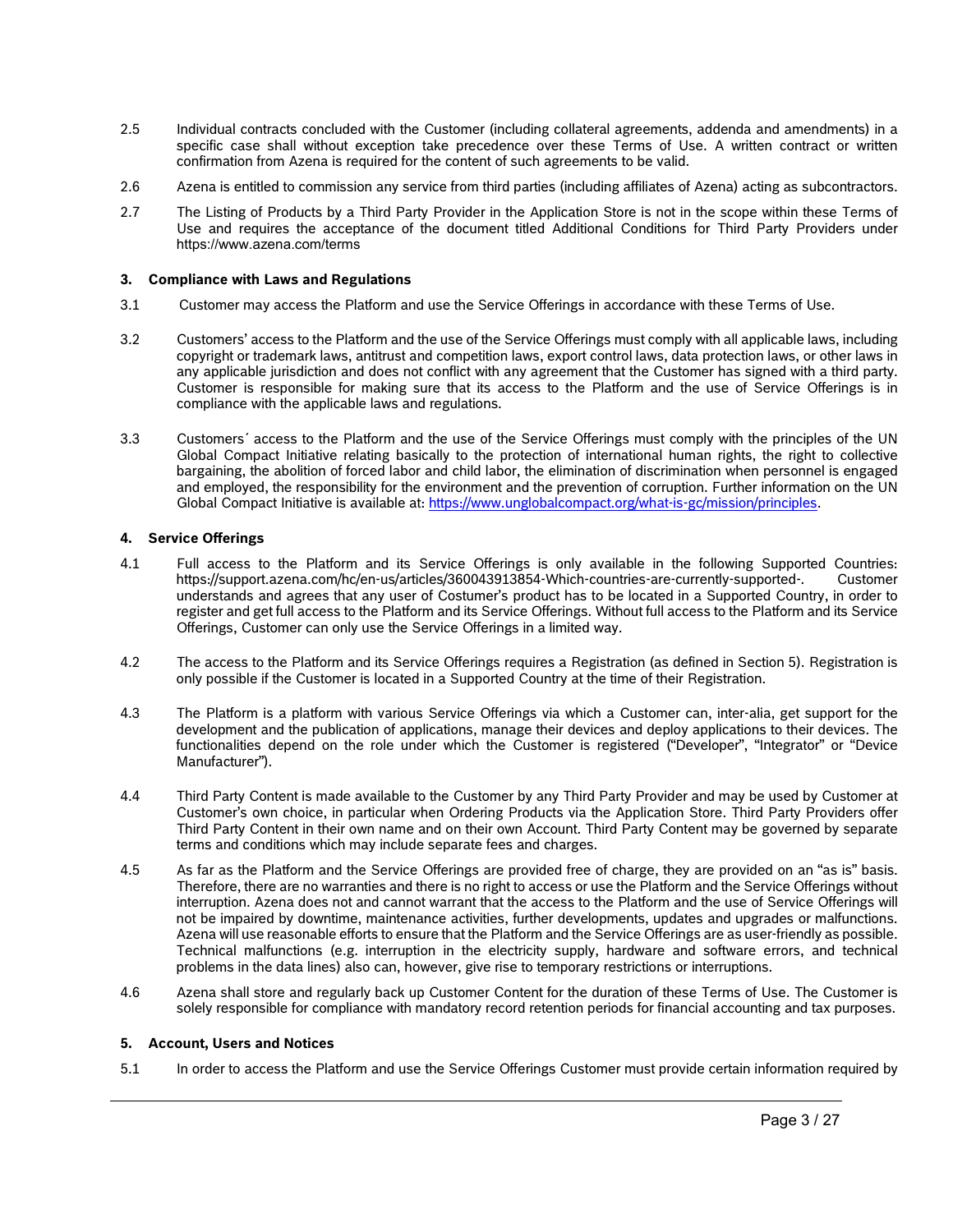- 2.5 Individual contracts concluded with the Customer (including collateral agreements, addenda and amendments) in a specific case shall without exception take precedence over these Terms of Use. A written contract or written confirmation from Azena is required for the content of such agreements to be valid.
- 2.6 Azena is entitled to commission any service from third parties (including affiliates of Azena) acting as subcontractors.
- 2.7 The Listing of Products by a Third Party Provider in the Application Store is not in the scope within these Terms of Use and requires the acceptance of the document titled Additional Conditions for Third Party Providers under https://www.azena.com/terms

## **3. Compliance with Laws and Regulations**

- 3.1 Customer may access the Platform and use the Service Offerings in accordance with these Terms of Use.
- 3.2 Customers' access to the Platform and the use of the Service Offerings must comply with all applicable laws, including copyright or trademark laws, antitrust and competition laws, export control laws, data protection laws, or other laws in any applicable jurisdiction and does not conflict with any agreement that the Customer has signed with a third party. Customer is responsible for making sure that its access to the Platform and the use of Service Offerings is in compliance with the applicable laws and regulations.
- 3.3 Customers´ access to the Platform and the use of the Service Offerings must comply with the principles of the UN Global Compact Initiative relating basically to the protection of international human rights, the right to collective bargaining, the abolition of forced labor and child labor, the elimination of discrimination when personnel is engaged and employed, the responsibility for the environment and the prevention of corruption. Further information on the UN Global Compact Initiative is available at[: https://www.unglobalcompact.org/what-is-gc/mission/principles.](https://www.unglobalcompact.org/what-is-gc/mission/principles)

## **4. Service Offerings**

- 4.1 Full access to the Platform and its Service Offerings is only available in the following Supported Countries: https://support.azena.com/hc/en-us/articles/360043913854-Which-countries-are-currently-supported-. Customer understands and agrees that any user of Costumer's product has to be located in a Supported Country, in order to register and get full access to the Platform and its Service Offerings. Without full access to the Platform and its Service Offerings, Customer can only use the Service Offerings in a limited way.
- 4.2 The access to the Platform and its Service Offerings requires a Registration (as defined in Section 5). Registration is only possible if the Customer is located in a Supported Country at the time of their Registration.
- 4.3 The Platform is a platform with various Service Offerings via which a Customer can, inter-alia, get support for the development and the publication of applications, manage their devices and deploy applications to their devices. The functionalities depend on the role under which the Customer is registered ("Developer", "Integrator" or "Device Manufacturer").
- 4.4 Third Party Content is made available to the Customer by any Third Party Provider and may be used by Customer at Customer's own choice, in particular when Ordering Products via the Application Store. Third Party Providers offer Third Party Content in their own name and on their own Account. Third Party Content may be governed by separate terms and conditions which may include separate fees and charges.
- 4.5 As far as the Platform and the Service Offerings are provided free of charge, they are provided on an "as is" basis. Therefore, there are no warranties and there is no right to access or use the Platform and the Service Offerings without interruption. Azena does not and cannot warrant that the access to the Platform and the use of Service Offerings will not be impaired by downtime, maintenance activities, further developments, updates and upgrades or malfunctions. Azena will use reasonable efforts to ensure that the Platform and the Service Offerings are as user-friendly as possible. Technical malfunctions (e.g. interruption in the electricity supply, hardware and software errors, and technical problems in the data lines) also can, however, give rise to temporary restrictions or interruptions.
- <span id="page-2-0"></span>4.6 Azena shall store and regularly back up Customer Content for the duration of these Terms of Use. The Customer is solely responsible for compliance with mandatory record retention periods for financial accounting and tax purposes.

#### **5. Account, Users and Notices**

5.1 In order to access the Platform and use the Service Offerings Customer must provide certain information required by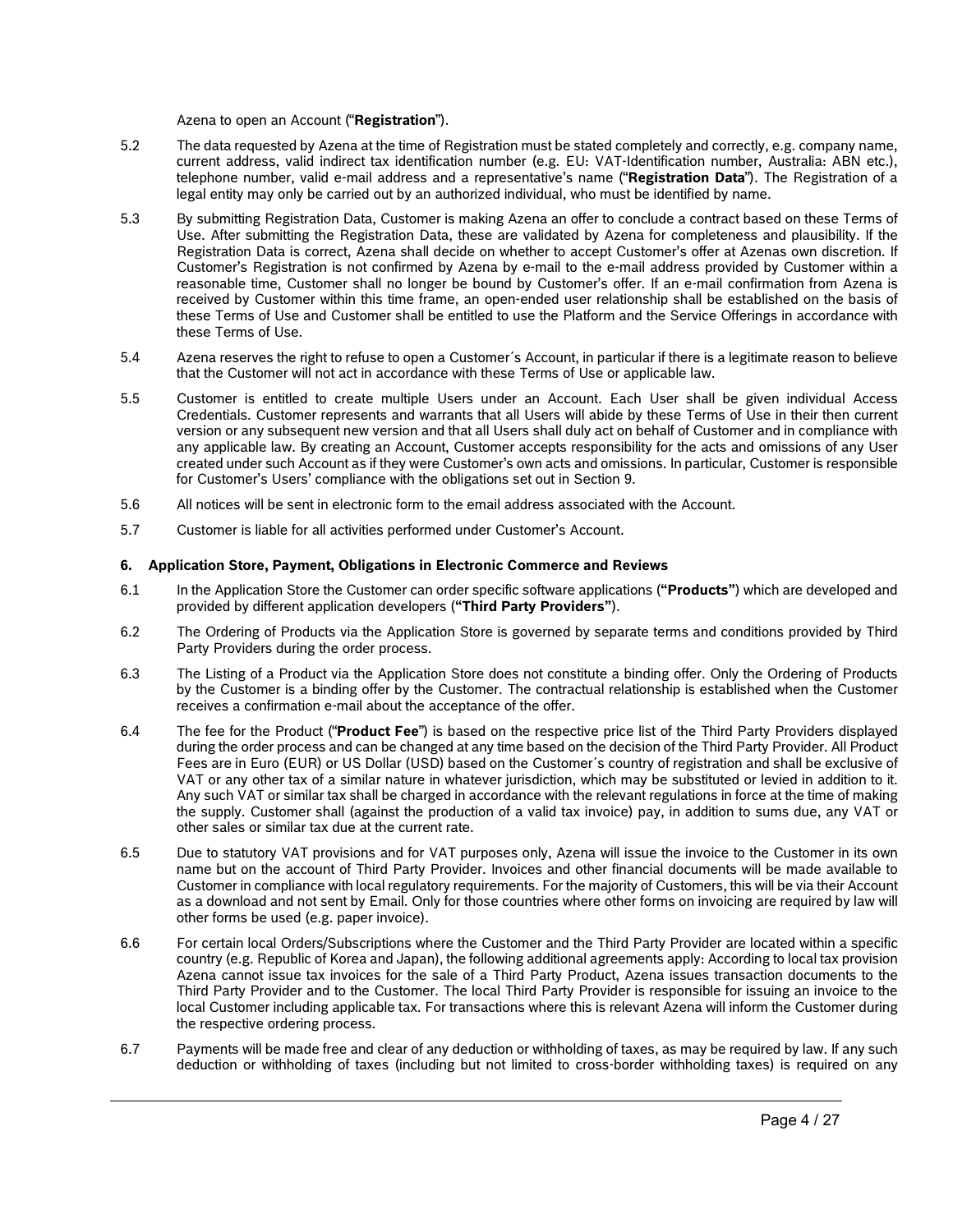Azena to open an Account ("**Registration**").

- 5.2 The data requested by Azena at the time of Registration must be stated completely and correctly, e.g. company name, current address, valid indirect tax identification number (e.g. EU: VAT-Identification number, Australia: ABN etc.), telephone number, valid e-mail address and a representative's name ("**Registration Data**"). The Registration of a legal entity may only be carried out by an authorized individual, who must be identified by name.
- 5.3 By submitting Registration Data, Customer is making Azena an offer to conclude a contract based on these Terms of Use. After submitting the Registration Data, these are validated by Azena for completeness and plausibility. If the Registration Data is correct, Azena shall decide on whether to accept Customer's offer at Azenas own discretion. If Customer's Registration is not confirmed by Azena by e-mail to the e-mail address provided by Customer within a reasonable time, Customer shall no longer be bound by Customer's offer. If an e-mail confirmation from Azena is received by Customer within this time frame, an open-ended user relationship shall be established on the basis of these Terms of Use and Customer shall be entitled to use the Platform and the Service Offerings in accordance with these Terms of Use.
- 5.4 Azena reserves the right to refuse to open a Customer´s Account, in particular if there is a legitimate reason to believe that the Customer will not act in accordance with these Terms of Use or applicable law.
- 5.5 Customer is entitled to create multiple Users under an Account. Each User shall be given individual Access Credentials. Customer represents and warrants that all Users will abide by these Terms of Use in their then current version or any subsequent new version and that all Users shall duly act on behalf of Customer and in compliance with any applicable law. By creating an Account, Customer accepts responsibility for the acts and omissions of any User created under such Account as if they were Customer's own acts and omissions. In particular, Customer is responsible for Customer's Users' compliance with the obligations set out in Section 9.
- 5.6 All notices will be sent in electronic form to the email address associated with the Account.
- 5.7 Customer is liable for all activities performed under Customer's Account.

#### **6. Application Store, Payment, Obligations in Electronic Commerce and Reviews**

- 6.1 In the Application Store the Customer can order specific software applications (**"Products"**) which are developed and provided by different application developers (**"Third Party Providers"**).
- 6.2 The Ordering of Products via the Application Store is governed by separate terms and conditions provided by Third Party Providers during the order process.
- 6.3 The Listing of a Product via the Application Store does not constitute a binding offer. Only the Ordering of Products by the Customer is a binding offer by the Customer. The contractual relationship is established when the Customer receives a confirmation e-mail about the acceptance of the offer.
- 6.4 The fee for the Product ("**Product Fee**") is based on the respective price list of the Third Party Providers displayed during the order process and can be changed at any time based on the decision of the Third Party Provider. All Product Fees are in Euro (EUR) or US Dollar (USD) based on the Customer´s country of registration and shall be exclusive of VAT or any other tax of a similar nature in whatever jurisdiction, which may be substituted or levied in addition to it. Any such VAT or similar tax shall be charged in accordance with the relevant regulations in force at the time of making the supply. Customer shall (against the production of a valid tax invoice) pay, in addition to sums due, any VAT or other sales or similar tax due at the current rate.
- 6.5 Due to statutory VAT provisions and for VAT purposes only, Azena will issue the invoice to the Customer in its own name but on the account of Third Party Provider. Invoices and other financial documents will be made available to Customer in compliance with local regulatory requirements. For the majority of Customers, this will be via their Account as a download and not sent by Email. Only for those countries where other forms on invoicing are required by law will other forms be used (e.g. paper invoice).
- 6.6 For certain local Orders/Subscriptions where the Customer and the Third Party Provider are located within a specific country (e.g. Republic of Korea and Japan), the following additional agreements apply: According to local tax provision Azena cannot issue tax invoices for the sale of a Third Party Product, Azena issues transaction documents to the Third Party Provider and to the Customer. The local Third Party Provider is responsible for issuing an invoice to the local Customer including applicable tax. For transactions where this is relevant Azena will inform the Customer during the respective ordering process.
- 6.7 Payments will be made free and clear of any deduction or withholding of taxes, as may be required by law. If any such deduction or withholding of taxes (including but not limited to cross-border withholding taxes) is required on any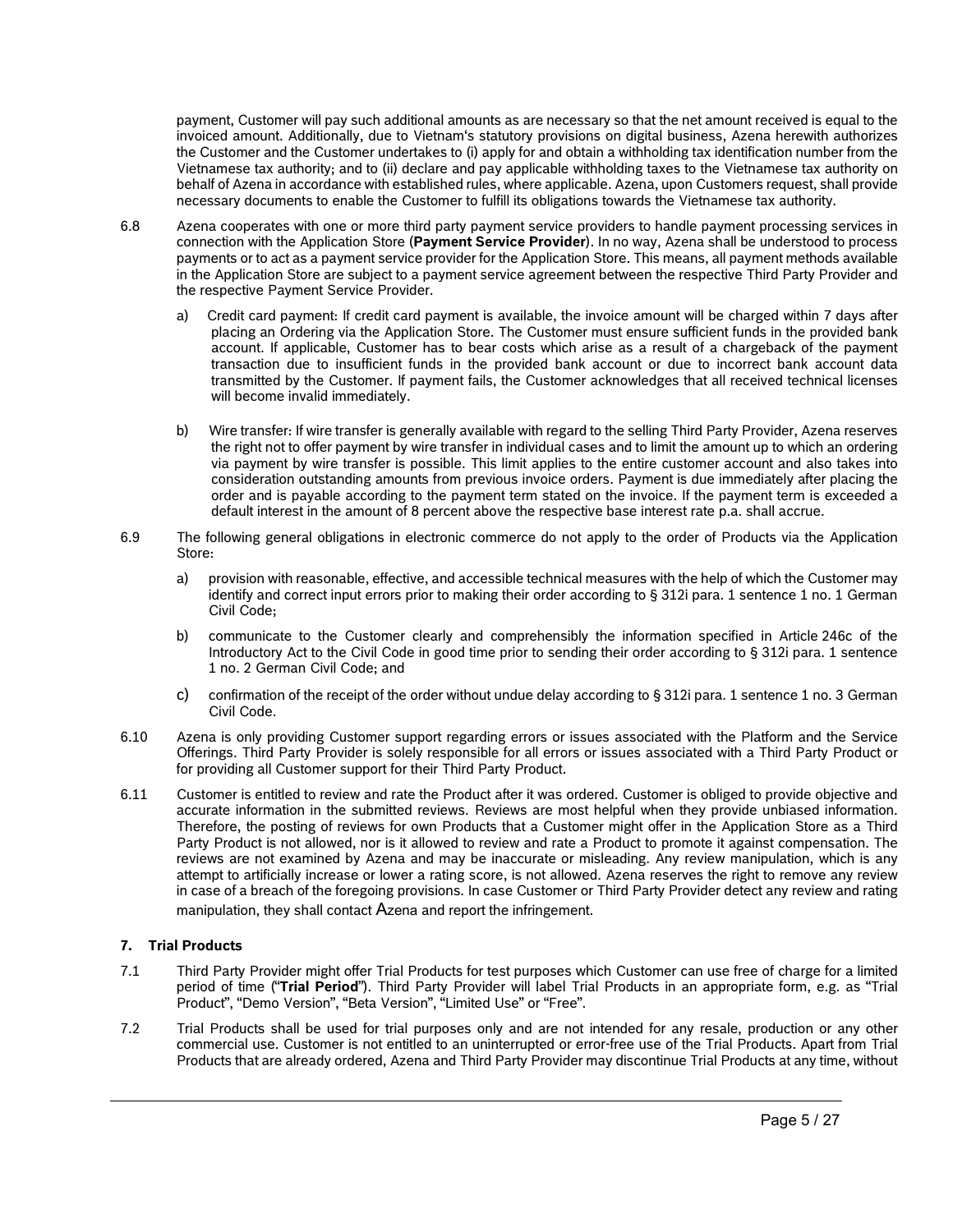payment, Customer will pay such additional amounts as are necessary so that the net amount received is equal to the invoiced amount. Additionally, due to Vietnam's statutory provisions on digital business, Azena herewith authorizes the Customer and the Customer undertakes to (i) apply for and obtain a withholding tax identification number from the Vietnamese tax authority; and to (ii) declare and pay applicable withholding taxes to the Vietnamese tax authority on behalf of Azena in accordance with established rules, where applicable. Azena, upon Customers request, shall provide necessary documents to enable the Customer to fulfill its obligations towards the Vietnamese tax authority.

- 6.8 Azena cooperates with one or more third party payment service providers to handle payment processing services in connection with the Application Store (**Payment Service Provider**). In no way, Azena shall be understood to process payments or to act as a payment service provider for the Application Store. This means, all payment methods available in the Application Store are subject to a payment service agreement between the respective Third Party Provider and the respective Payment Service Provider.
	- a) Credit card payment: If credit card payment is available, the invoice amount will be charged within 7 days after placing an Ordering via the Application Store. The Customer must ensure sufficient funds in the provided bank account. If applicable, Customer has to bear costs which arise as a result of a chargeback of the payment transaction due to insufficient funds in the provided bank account or due to incorrect bank account data transmitted by the Customer. If payment fails, the Customer acknowledges that all received technical licenses will become invalid immediately.
	- b) Wire transfer: If wire transfer is generally available with regard to the selling Third Party Provider, Azena reserves the right not to offer payment by wire transfer in individual cases and to limit the amount up to which an ordering via payment by wire transfer is possible. This limit applies to the entire customer account and also takes into consideration outstanding amounts from previous invoice orders. Payment is due immediately after placing the order and is payable according to the payment term stated on the invoice. If the payment term is exceeded a default interest in the amount of 8 percent above the respective base interest rate p.a. shall accrue.
- 6.9 The following general obligations in electronic commerce do not apply to the order of Products via the Application Store:
	- a) provision with reasonable, effective, and accessible technical measures with the help of which the Customer may identify and correct input errors prior to making their order according to § 312i para. 1 sentence 1 no. 1 German Civil Code;
	- b) communicate to the Customer clearly and comprehensibly the information specified in Article 246c of the Introductory Act to the Civil Code in good time prior to sending their order according to § 312i para. 1 sentence 1 no. 2 German Civil Code; and
	- c) confirmation of the receipt of the order without undue delay according to § 312i para. 1 sentence 1 no. 3 German Civil Code.
- 6.10 Azena is only providing Customer support regarding errors or issues associated with the Platform and the Service Offerings. Third Party Provider is solely responsible for all errors or issues associated with a Third Party Product or for providing all Customer support for their Third Party Product.
- 6.11 Customer is entitled to review and rate the Product after it was ordered. Customer is obliged to provide objective and accurate information in the submitted reviews. Reviews are most helpful when they provide unbiased information. Therefore, the posting of reviews for own Products that a Customer might offer in the Application Store as a Third Party Product is not allowed, nor is it allowed to review and rate a Product to promote it against compensation. The reviews are not examined by Azena and may be inaccurate or misleading. Any review manipulation, which is any attempt to artificially increase or lower a rating score, is not allowed. Azena reserves the right to remove any review in case of a breach of the foregoing provisions. In case Customer or Third Party Provider detect any review and rating manipulation, they shall contact Azena and report the infringement.

## **7. Trial Products**

- 7.1 Third Party Provider might offer Trial Products for test purposes which Customer can use free of charge for a limited period of time ("**Trial Period**"). Third Party Provider will label Trial Products in an appropriate form, e.g. as "Trial Product", "Demo Version", "Beta Version", "Limited Use" or "Free".
- 7.2 Trial Products shall be used for trial purposes only and are not intended for any resale, production or any other commercial use. Customer is not entitled to an uninterrupted or error-free use of the Trial Products. Apart from Trial Products that are already ordered, Azena and Third Party Provider may discontinue Trial Products at any time, without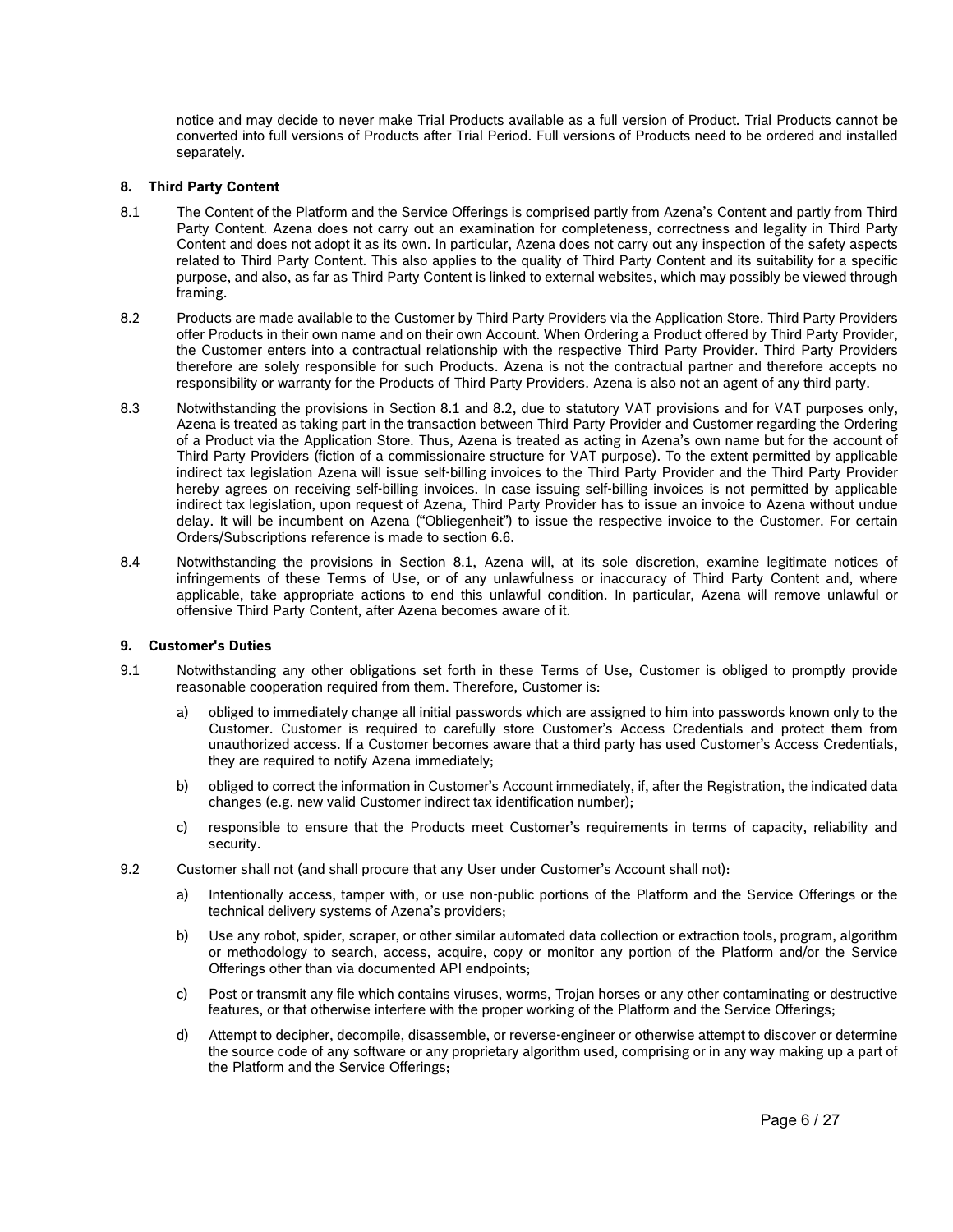notice and may decide to never make Trial Products available as a full version of Product. Trial Products cannot be converted into full versions of Products after Trial Period. Full versions of Products need to be ordered and installed separately.

## **8. Third Party Content**

- <span id="page-5-0"></span>8.1 The Content of the Platform and the Service Offerings is comprised partly from Azena's Content and partly from Third Party Content. Azena does not carry out an examination for completeness, correctness and legality in Third Party Content and does not adopt it as its own. In particular, Azena does not carry out any inspection of the safety aspects related to Third Party Content. This also applies to the quality of Third Party Content and its suitability for a specific purpose, and also, as far as Third Party Content is linked to external websites, which may possibly be viewed through framing.
- <span id="page-5-1"></span>8.2 Products are made available to the Customer by Third Party Providers via the Application Store. Third Party Providers offer Products in their own name and on their own Account. When Ordering a Product offered by Third Party Provider, the Customer enters into a contractual relationship with the respective Third Party Provider. Third Party Providers therefore are solely responsible for such Products. Azena is not the contractual partner and therefore accepts no responsibility or warranty for the Products of Third Party Providers. Azena is also not an agent of any third party.
- 8.3 Notwithstanding the provisions in Section [8.1](#page-5-0) and [8.2,](#page-5-1) due to statutory VAT provisions and for VAT purposes only, Azena is treated as taking part in the transaction between Third Party Provider and Customer regarding the Ordering of a Product via the Application Store. Thus, Azena is treated as acting in Azena's own name but for the account of Third Party Providers (fiction of a commissionaire structure for VAT purpose). To the extent permitted by applicable indirect tax legislation Azena will issue self-billing invoices to the Third Party Provider and the Third Party Provider hereby agrees on receiving self-billing invoices. In case issuing self-billing invoices is not permitted by applicable indirect tax legislation, upon request of Azena, Third Party Provider has to issue an invoice to Azena without undue delay. It will be incumbent on Azena ("Obliegenheit") to issue the respective invoice to the Customer. For certain Orders/Subscriptions reference is made to section 6.6.
- 8.4 Notwithstanding the provisions in Section [8.1,](#page-5-0) Azena will, at its sole discretion, examine legitimate notices of infringements of these Terms of Use, or of any unlawfulness or inaccuracy of Third Party Content and, where applicable, take appropriate actions to end this unlawful condition. In particular, Azena will remove unlawful or offensive Third Party Content, after Azena becomes aware of it.

#### **9. Customer's Duties**

- 9.1 Notwithstanding any other obligations set forth in these Terms of Use, Customer is obliged to promptly provide reasonable cooperation required from them. Therefore, Customer is:
	- a) obliged to immediately change all initial passwords which are assigned to him into passwords known only to the Customer. Customer is required to carefully store Customer's Access Credentials and protect them from unauthorized access. If a Customer becomes aware that a third party has used Customer's Access Credentials, they are required to notify Azena immediately;
	- b) obliged to correct the information in Customer's Account immediately, if, after the Registration, the indicated data changes (e.g. new valid Customer indirect tax identification number);
	- c) responsible to ensure that the Products meet Customer's requirements in terms of capacity, reliability and security.
- 9.2 Customer shall not (and shall procure that any User under Customer's Account shall not):
	- a) Intentionally access, tamper with, or use non-public portions of the Platform and the Service Offerings or the technical delivery systems of Azena's providers;
	- b) Use any robot, spider, scraper, or other similar automated data collection or extraction tools, program, algorithm or methodology to search, access, acquire, copy or monitor any portion of the Platform and/or the Service Offerings other than via documented API endpoints;
	- c) Post or transmit any file which contains viruses, worms, Trojan horses or any other contaminating or destructive features, or that otherwise interfere with the proper working of the Platform and the Service Offerings;
	- d) Attempt to decipher, decompile, disassemble, or reverse-engineer or otherwise attempt to discover or determine the source code of any software or any proprietary algorithm used, comprising or in any way making up a part of the Platform and the Service Offerings;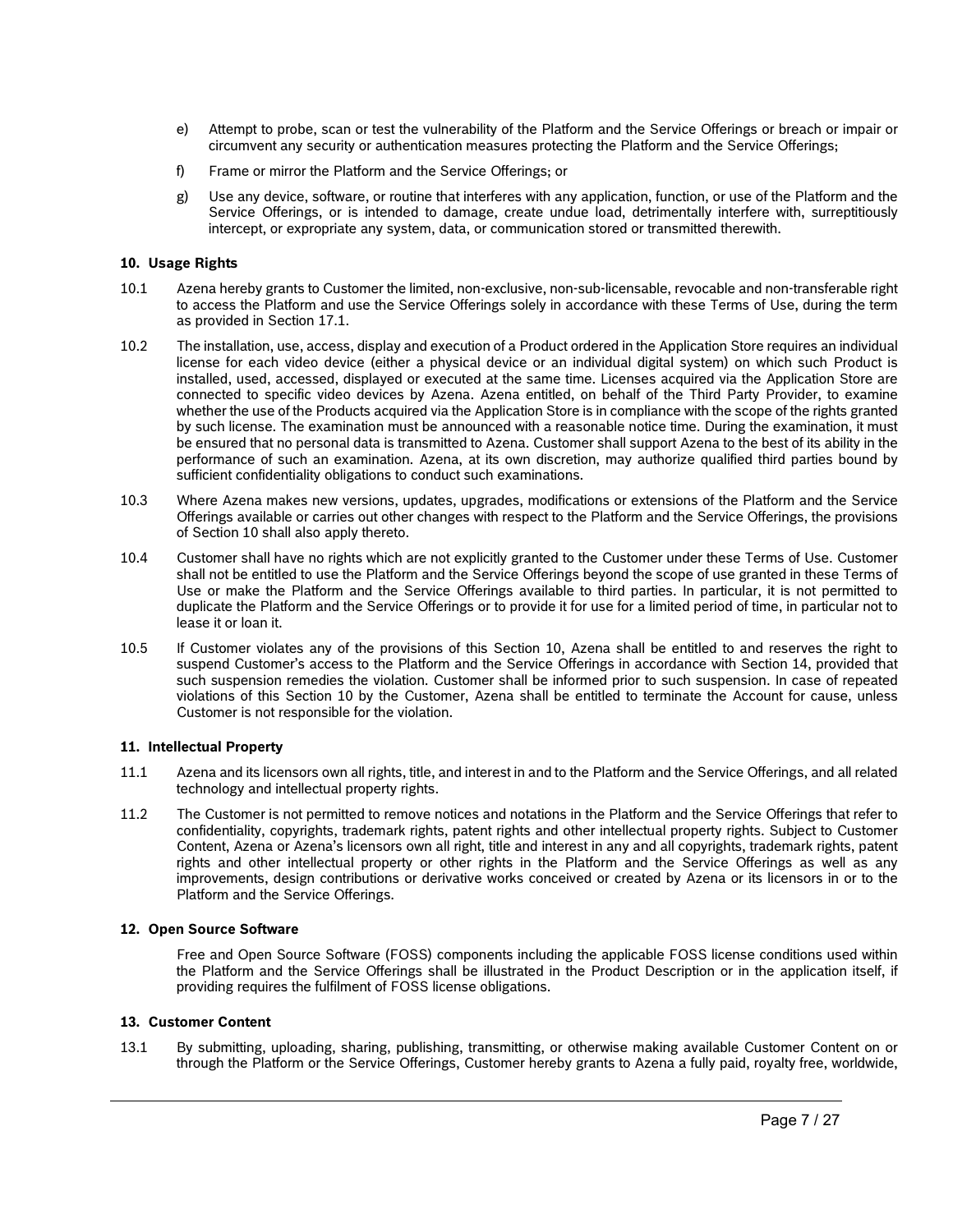- e) Attempt to probe, scan or test the vulnerability of the Platform and the Service Offerings or breach or impair or circumvent any security or authentication measures protecting the Platform and the Service Offerings;
- f) Frame or mirror the Platform and the Service Offerings; or
- g) Use any device, software, or routine that interferes with any application, function, or use of the Platform and the Service Offerings, or is intended to damage, create undue load, detrimentally interfere with, surreptitiously intercept, or expropriate any system, data, or communication stored or transmitted therewith.

#### **10. Usage Rights**

- 10.1 Azena hereby grants to Customer the limited, non-exclusive, non-sub-licensable, revocable and non-transferable right to access the Platform and use the Service Offerings solely in accordance with these Terms of Use, during the term as provided in Section 17.1.
- 10.2 The installation, use, access, display and execution of a Product ordered in the Application Store requires an individual license for each video device (either a physical device or an individual digital system) on which such Product is installed, used, accessed, displayed or executed at the same time. Licenses acquired via the Application Store are connected to specific video devices by Azena. Azena entitled, on behalf of the Third Party Provider, to examine whether the use of the Products acquired via the Application Store is in compliance with the scope of the rights granted by such license. The examination must be announced with a reasonable notice time. During the examination, it must be ensured that no personal data is transmitted to Azena. Customer shall support Azena to the best of its ability in the performance of such an examination. Azena, at its own discretion, may authorize qualified third parties bound by sufficient confidentiality obligations to conduct such examinations.
- 10.3 Where Azena makes new versions, updates, upgrades, modifications or extensions of the Platform and the Service Offerings available or carries out other changes with respect to the Platform and the Service Offerings, the provisions of Section 10 shall also apply thereto.
- 10.4 Customer shall have no rights which are not explicitly granted to the Customer under these Terms of Use. Customer shall not be entitled to use the Platform and the Service Offerings beyond the scope of use granted in these Terms of Use or make the Platform and the Service Offerings available to third parties. In particular, it is not permitted to duplicate the Platform and the Service Offerings or to provide it for use for a limited period of time, in particular not to lease it or loan it.
- 10.5 If Customer violates any of the provisions of this Section 10, Azena shall be entitled to and reserves the right to suspend Customer's access to the Platform and the Service Offerings in accordance with Section 14, provided that such suspension remedies the violation. Customer shall be informed prior to such suspension. In case of repeated violations of this Section 10 by the Customer, Azena shall be entitled to terminate the Account for cause, unless Customer is not responsible for the violation.

#### **11. Intellectual Property**

- 11.1 Azena and its licensors own all rights, title, and interest in and to the Platform and the Service Offerings, and all related technology and intellectual property rights.
- 11.2 The Customer is not permitted to remove notices and notations in the Platform and the Service Offerings that refer to confidentiality, copyrights, trademark rights, patent rights and other intellectual property rights. Subject to Customer Content, Azena or Azena's licensors own all right, title and interest in any and all copyrights, trademark rights, patent rights and other intellectual property or other rights in the Platform and the Service Offerings as well as any improvements, design contributions or derivative works conceived or created by Azena or its licensors in or to the Platform and the Service Offerings.

#### **12. Open Source Software**

Free and Open Source Software (FOSS) components including the applicable FOSS license conditions used within the Platform and the Service Offerings shall be illustrated in the Product Description or in the application itself, if providing requires the fulfilment of FOSS license obligations.

#### **13. Customer Content**

13.1 By submitting, uploading, sharing, publishing, transmitting, or otherwise making available Customer Content on or through the Platform or the Service Offerings, Customer hereby grants to Azena a fully paid, royalty free, worldwide,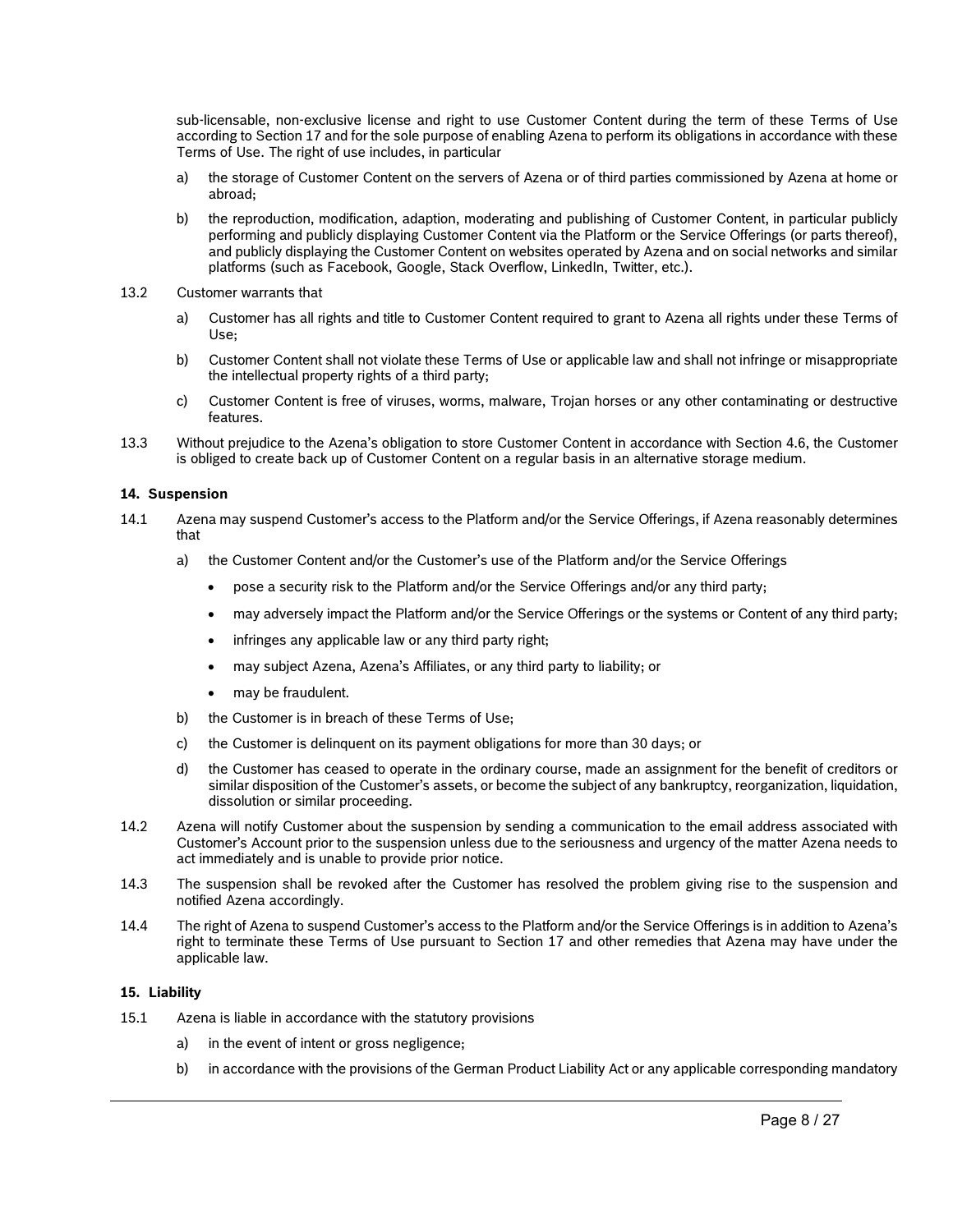sub-licensable, non-exclusive license and right to use Customer Content during the term of these Terms of Use according to Section 17 and for the sole purpose of enabling Azena to perform its obligations in accordance with these Terms of Use. The right of use includes, in particular

- a) the storage of Customer Content on the servers of Azena or of third parties commissioned by Azena at home or abroad;
- b) the reproduction, modification, adaption, moderating and publishing of Customer Content, in particular publicly performing and publicly displaying Customer Content via the Platform or the Service Offerings (or parts thereof), and publicly displaying the Customer Content on websites operated by Azena and on social networks and similar platforms (such as Facebook, Google, Stack Overflow, LinkedIn, Twitter, etc.).
- 13.2 Customer warrants that
	- a) Customer has all rights and title to Customer Content required to grant to Azena all rights under these Terms of Use;
	- b) Customer Content shall not violate these Terms of Use or applicable law and shall not infringe or misappropriate the intellectual property rights of a third party;
	- c) Customer Content is free of viruses, worms, malware, Trojan horses or any other contaminating or destructive features.
- <span id="page-7-1"></span>13.3 Without prejudice to the Azena's obligation to store Customer Content in accordance with Section [4.6,](#page-2-0) the Customer is obliged to create back up of Customer Content on a regular basis in an alternative storage medium.

#### **14. Suspension**

- 14.1 Azena may suspend Customer's access to the Platform and/or the Service Offerings, if Azena reasonably determines that
	- a) the Customer Content and/or the Customer's use of the Platform and/or the Service Offerings
		- pose a security risk to the Platform and/or the Service Offerings and/or any third party;
		- may adversely impact the Platform and/or the Service Offerings or the systems or Content of any third party;
		- infringes any applicable law or any third party right;
		- may subject Azena, Azena's Affiliates, or any third party to liability; or
		- may be fraudulent.
	- b) the Customer is in breach of these Terms of Use;
	- c) the Customer is delinquent on its payment obligations for more than 30 days; or
	- d) the Customer has ceased to operate in the ordinary course, made an assignment for the benefit of creditors or similar disposition of the Customer's assets, or become the subject of any bankruptcy, reorganization, liquidation, dissolution or similar proceeding.
- 14.2 Azena will notify Customer about the suspension by sending a communication to the email address associated with Customer's Account prior to the suspension unless due to the seriousness and urgency of the matter Azena needs to act immediately and is unable to provide prior notice.
- 14.3 The suspension shall be revoked after the Customer has resolved the problem giving rise to the suspension and notified Azena accordingly.
- 14.4 The right of Azena to suspend Customer's access to the Platform and/or the Service Offerings is in addition to Azena's right to terminate these Terms of Use pursuant to Section 17 and other remedies that Azena may have under the applicable law.

#### **15. Liability**

- <span id="page-7-0"></span>15.1 Azena is liable in accordance with the statutory provisions
	- a) in the event of intent or gross negligence;
	- b) in accordance with the provisions of the German Product Liability Act or any applicable corresponding mandatory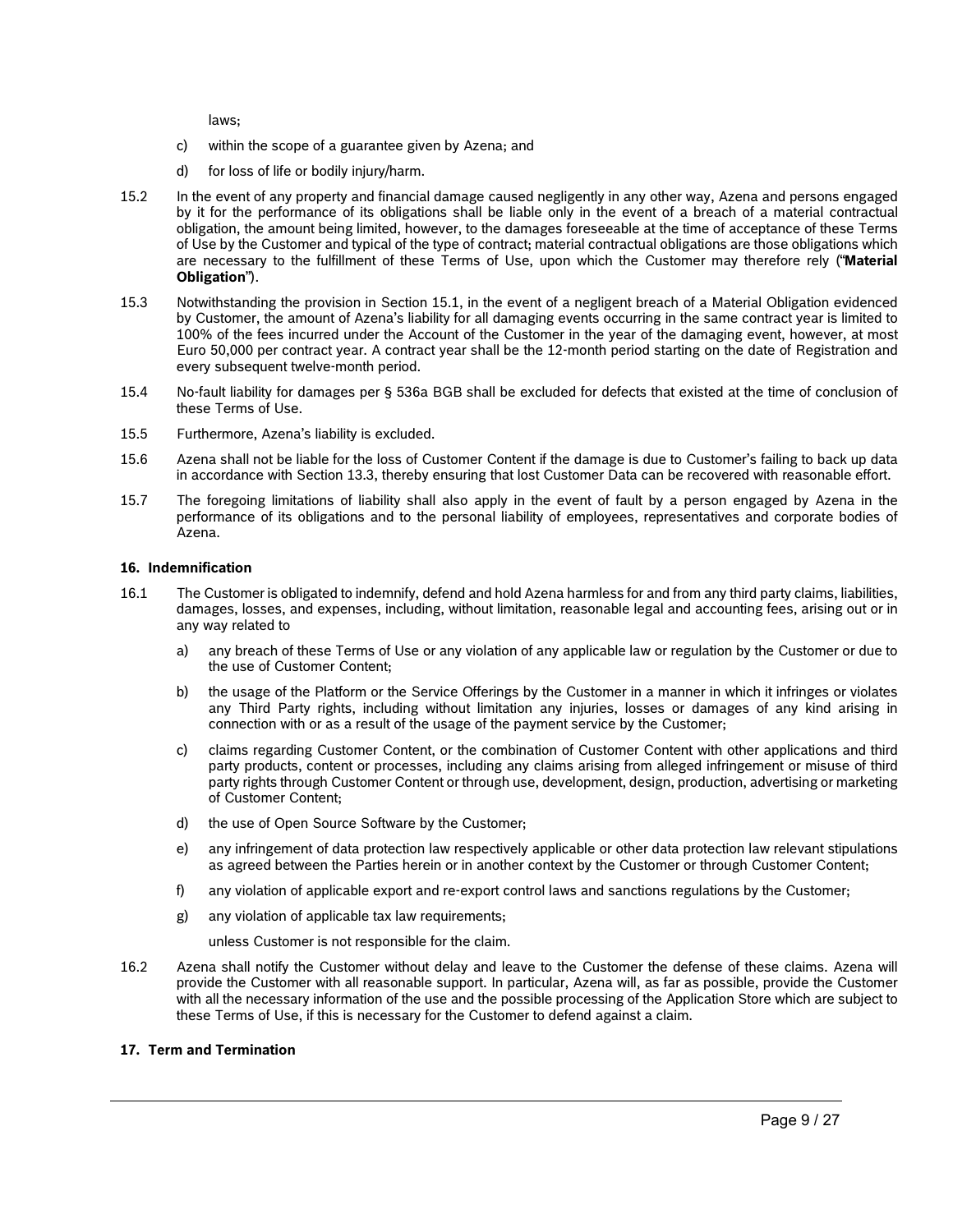laws;

- c) within the scope of a guarantee given by Azena; and
- d) for loss of life or bodily injury/harm.
- 15.2 In the event of any property and financial damage caused negligently in any other way, Azena and persons engaged by it for the performance of its obligations shall be liable only in the event of a breach of a material contractual obligation, the amount being limited, however, to the damages foreseeable at the time of acceptance of these Terms of Use by the Customer and typical of the type of contract; material contractual obligations are those obligations which are necessary to the fulfillment of these Terms of Use, upon which the Customer may therefore rely ("**Material Obligation**").
- 15.3 Notwithstanding the provision in Section [15.1,](#page-7-0) in the event of a negligent breach of a Material Obligation evidenced by Customer, the amount of Azena's liability for all damaging events occurring in the same contract year is limited to 100% of the fees incurred under the Account of the Customer in the year of the damaging event, however, at most Euro 50,000 per contract year. A contract year shall be the 12-month period starting on the date of Registration and every subsequent twelve-month period.
- 15.4 No-fault liability for damages per § 536a BGB shall be excluded for defects that existed at the time of conclusion of these Terms of Use.
- 15.5 Furthermore, Azena's liability is excluded.
- 15.6 Azena shall not be liable for the loss of Customer Content if the damage is due to Customer's failing to back up data in accordance with Section [13.3,](#page-7-1) thereby ensuring that lost Customer Data can be recovered with reasonable effort.
- 15.7 The foregoing limitations of liability shall also apply in the event of fault by a person engaged by Azena in the performance of its obligations and to the personal liability of employees, representatives and corporate bodies of Azena.

#### **16. Indemnification**

- 16.1 The Customer is obligated to indemnify, defend and hold Azena harmless for and from any third party claims, liabilities, damages, losses, and expenses, including, without limitation, reasonable legal and accounting fees, arising out or in any way related to
	- a) any breach of these Terms of Use or any violation of any applicable law or regulation by the Customer or due to the use of Customer Content;
	- b) the usage of the Platform or the Service Offerings by the Customer in a manner in which it infringes or violates any Third Party rights, including without limitation any injuries, losses or damages of any kind arising in connection with or as a result of the usage of the payment service by the Customer;
	- c) claims regarding Customer Content, or the combination of Customer Content with other applications and third party products, content or processes, including any claims arising from alleged infringement or misuse of third party rights through Customer Content or through use, development, design, production, advertising or marketing of Customer Content;
	- d) the use of Open Source Software by the Customer;
	- e) any infringement of data protection law respectively applicable or other data protection law relevant stipulations as agreed between the Parties herein or in another context by the Customer or through Customer Content;
	- f) any violation of applicable export and re-export control laws and sanctions regulations by the Customer;
	- g) any violation of applicable tax law requirements;
		- unless Customer is not responsible for the claim.
- 16.2 Azena shall notify the Customer without delay and leave to the Customer the defense of these claims. Azena will provide the Customer with all reasonable support. In particular, Azena will, as far as possible, provide the Customer with all the necessary information of the use and the possible processing of the Application Store which are subject to these Terms of Use, if this is necessary for the Customer to defend against a claim.

#### **17. Term and Termination**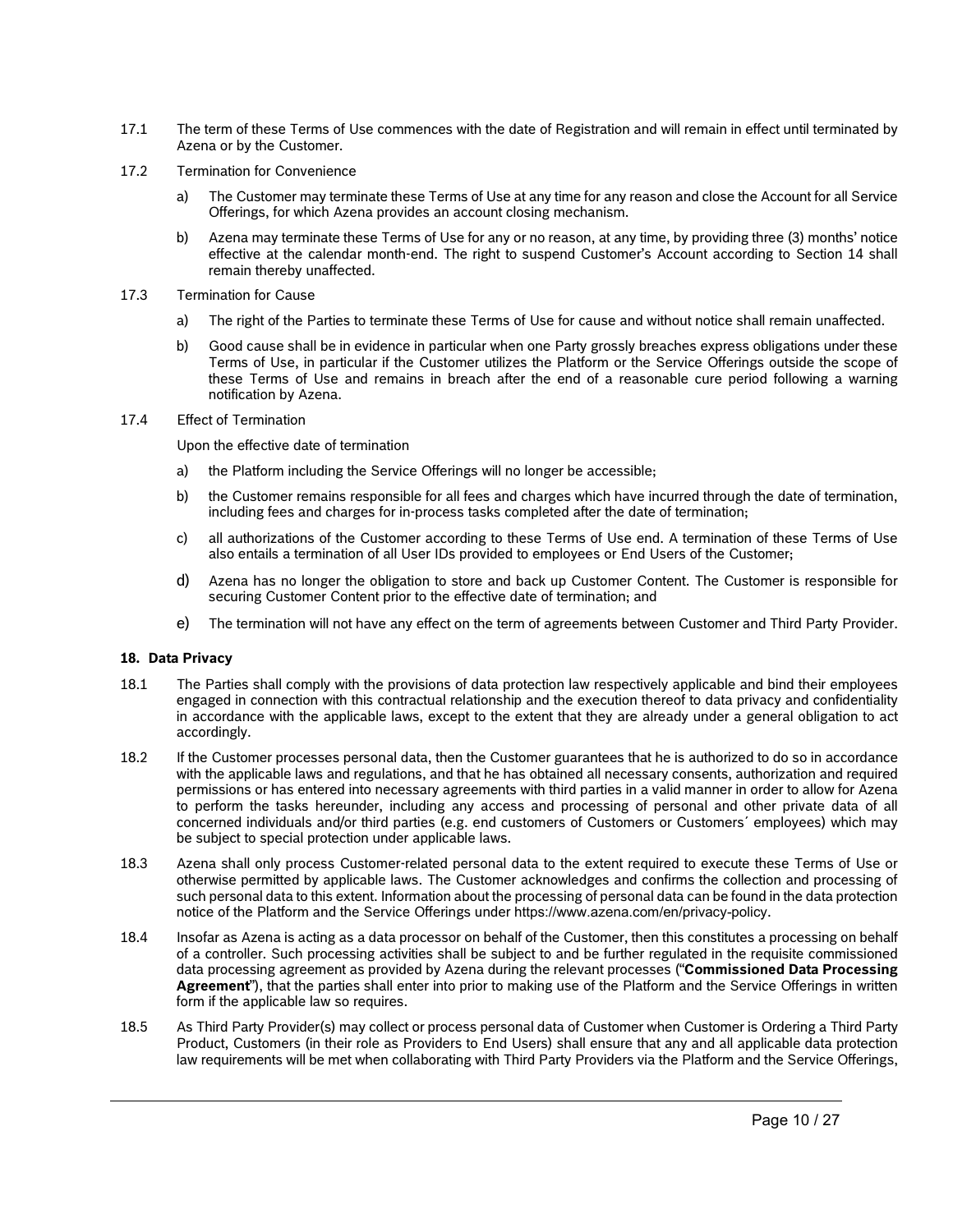- 17.1 The term of these Terms of Use commences with the date of Registration and will remain in effect until terminated by Azena or by the Customer.
- 17.2 Termination for Convenience
	- a) The Customer may terminate these Terms of Use at any time for any reason and close the Account for all Service Offerings, for which Azena provides an account closing mechanism.
	- b) Azena may terminate these Terms of Use for any or no reason, at any time, by providing three (3) months' notice effective at the calendar month-end. The right to suspend Customer's Account according to Section 14 shall remain thereby unaffected.
- 17.3 Termination for Cause
	- a) The right of the Parties to terminate these Terms of Use for cause and without notice shall remain unaffected.
	- b) Good cause shall be in evidence in particular when one Party grossly breaches express obligations under these Terms of Use, in particular if the Customer utilizes the Platform or the Service Offerings outside the scope of these Terms of Use and remains in breach after the end of a reasonable cure period following a warning notification by Azena.
- 17.4 Effect of Termination

Upon the effective date of termination

- a) the Platform including the Service Offerings will no longer be accessible;
- b) the Customer remains responsible for all fees and charges which have incurred through the date of termination, including fees and charges for in-process tasks completed after the date of termination;
- c) all authorizations of the Customer according to these Terms of Use end. A termination of these Terms of Use also entails a termination of all User IDs provided to employees or End Users of the Customer;
- d) Azena has no longer the obligation to store and back up Customer Content. The Customer is responsible for securing Customer Content prior to the effective date of termination; and
- e) The termination will not have any effect on the term of agreements between Customer and Third Party Provider.

#### **18. Data Privacy**

- <span id="page-9-0"></span>18.1 The Parties shall comply with the provisions of data protection law respectively applicable and bind their employees engaged in connection with this contractual relationship and the execution thereof to data privacy and confidentiality in accordance with the applicable laws, except to the extent that they are already under a general obligation to act accordingly.
- 18.2 If the Customer processes personal data, then the Customer guarantees that he is authorized to do so in accordance with the applicable laws and regulations, and that he has obtained all necessary consents, authorization and required permissions or has entered into necessary agreements with third parties in a valid manner in order to allow for Azena to perform the tasks hereunder, including any access and processing of personal and other private data of all concerned individuals and/or third parties (e.g. end customers of Customers or Customers´ employees) which may be subject to special protection under applicable laws.
- 18.3 Azena shall only process Customer-related personal data to the extent required to execute these Terms of Use or otherwise permitted by applicable laws. The Customer acknowledges and confirms the collection and processing of such personal data to this extent. Information about the processing of personal data can be found in the data protection notice of the Platform and the Service Offerings under https://www.azena.com/en/privacy-policy.
- 18.4 Insofar as Azena is acting as a data processor on behalf of the Customer, then this constitutes a processing on behalf of a controller. Such processing activities shall be subject to and be further regulated in the requisite commissioned data processing agreement as provided by Azena during the relevant processes ("**Commissioned Data Processing Agreement**"), that the parties shall enter into prior to making use of the Platform and the Service Offerings in written form if the applicable law so requires.
- <span id="page-9-1"></span>18.5 As Third Party Provider(s) may collect or process personal data of Customer when Customer is Ordering a Third Party Product, Customers (in their role as Providers to End Users) shall ensure that any and all applicable data protection law requirements will be met when collaborating with Third Party Providers via the Platform and the Service Offerings,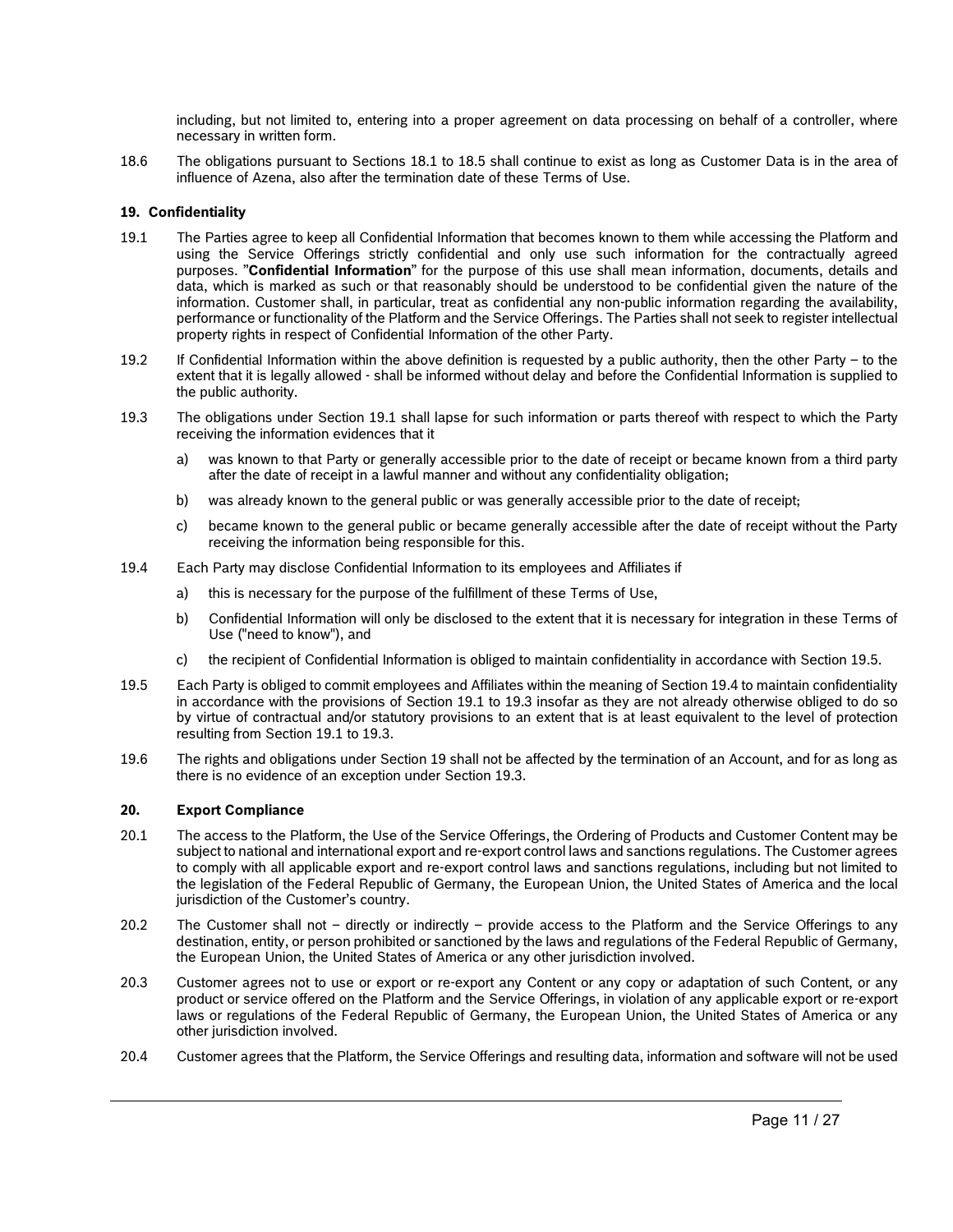including, but not limited to, entering into a proper agreement on data processing on behalf of a controller, where necessary in written form.

18.6 The obligations pursuant to Sections [18.1](#page-9-0) to [18.5](#page-9-1) shall continue to exist as long as Customer Data is in the area of influence of Azena, also after the termination date of these Terms of Use.

## **19. Confidentiality**

- <span id="page-10-0"></span>19.1 The Parties agree to keep all Confidential Information that becomes known to them while accessing the Platform and using the Service Offerings strictly confidential and only use such information for the contractually agreed purposes. "**Confidential Information**" for the purpose of this use shall mean information, documents, details and data, which is marked as such or that reasonably should be understood to be confidential given the nature of the information. Customer shall, in particular, treat as confidential any non-public information regarding the availability, performance or functionality of the Platform and the Service Offerings. The Parties shall not seek to register intellectual property rights in respect of Confidential Information of the other Party.
- 19.2 If Confidential Information within the above definition is requested by a public authority, then the other Party to the extent that it is legally allowed - shall be informed without delay and before the Confidential Information is supplied to the public authority.
- <span id="page-10-3"></span>19.3 The obligations under Section [19.1](#page-10-0) shall lapse for such information or parts thereof with respect to which the Party receiving the information evidences that it
	- a) was known to that Party or generally accessible prior to the date of receipt or became known from a third party after the date of receipt in a lawful manner and without any confidentiality obligation;
	- b) was already known to the general public or was generally accessible prior to the date of receipt;
	- c) became known to the general public or became generally accessible after the date of receipt without the Party receiving the information being responsible for this.
- <span id="page-10-2"></span>19.4 Each Party may disclose Confidential Information to its employees and Affiliates if
	- a) this is necessary for the purpose of the fulfillment of these Terms of Use,
	- b) Confidential Information will only be disclosed to the extent that it is necessary for integration in these Terms of Use ("need to know"), and
	- c) the recipient of Confidential Information is obliged to maintain confidentiality in accordance with Section [19.5.](#page-10-1)
- <span id="page-10-1"></span>19.5 Each Party is obliged to commit employees and Affiliates within the meaning of Section [19.4](#page-10-2) to maintain confidentiality in accordance with the provisions of Section [19.1](#page-10-0) to [19.3](#page-10-3) insofar as they are not already otherwise obliged to do so by virtue of contractual and/or statutory provisions to an extent that is at least equivalent to the level of protection resulting from Section [19.1](#page-10-0) to [19.3.](#page-10-3)
- 19.6 The rights and obligations under Section 19 shall not be affected by the termination of an Account, and for as long as there is no evidence of an exception under Section 19.3.

#### **20. Export Compliance**

- 20.1 The access to the Platform, the Use of the Service Offerings, the Ordering of Products and Customer Content may be subject to national and international export and re-export control laws and sanctions regulations. The Customer agrees to comply with all applicable export and re-export control laws and sanctions regulations, including but not limited to the legislation of the Federal Republic of Germany, the European Union, the United States of America and the local jurisdiction of the Customer's country.
- 20.2 The Customer shall not directly or indirectly provide access to the Platform and the Service Offerings to any destination, entity, or person prohibited or sanctioned by the laws and regulations of the Federal Republic of Germany, the European Union, the United States of America or any other jurisdiction involved.
- 20.3 Customer agrees not to use or export or re-export any Content or any copy or adaptation of such Content, or any product or service offered on the Platform and the Service Offerings, in violation of any applicable export or re-export laws or regulations of the Federal Republic of Germany, the European Union, the United States of America or any other jurisdiction involved.
- 20.4 Customer agrees that the Platform, the Service Offerings and resulting data, information and software will not be used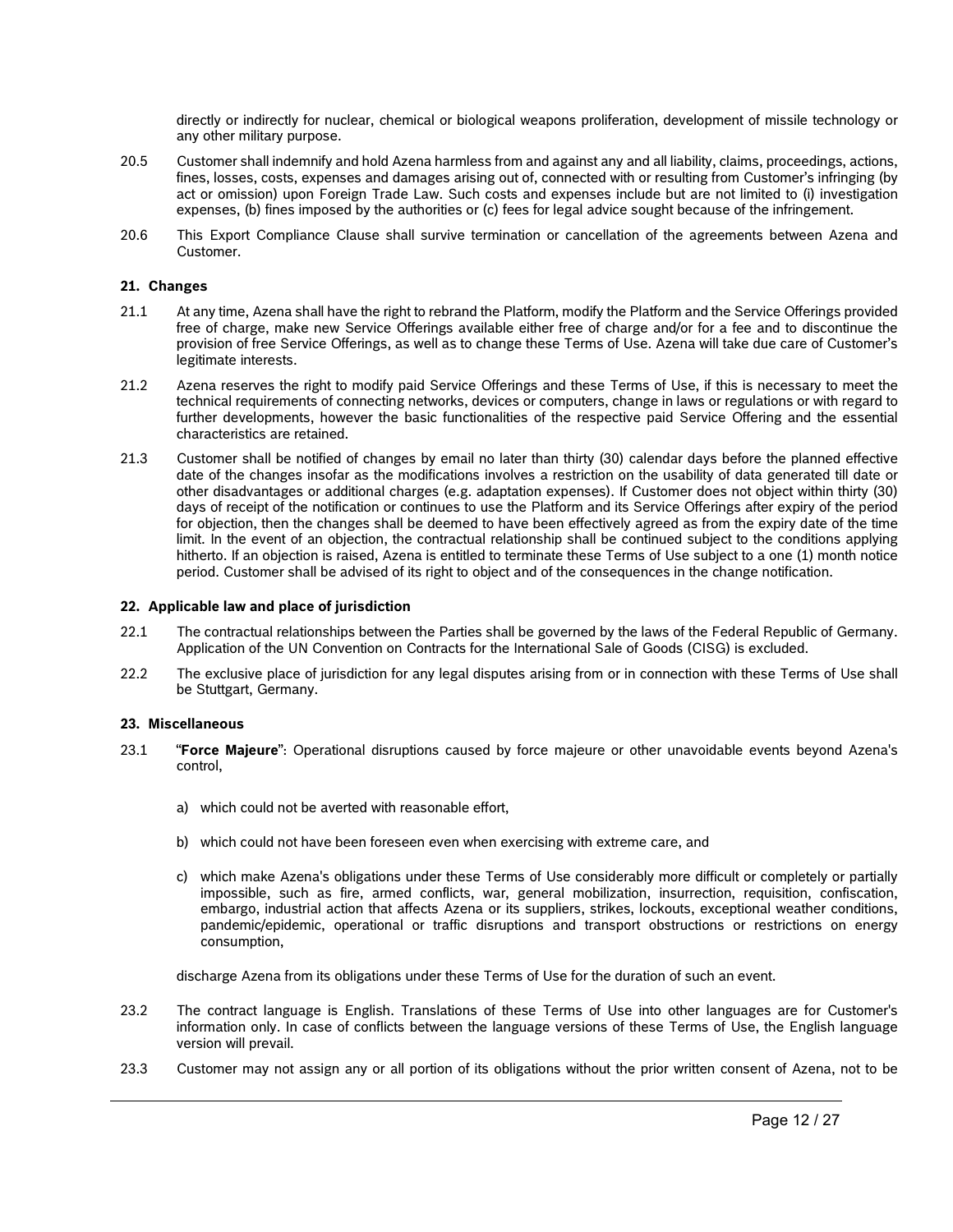directly or indirectly for nuclear, chemical or biological weapons proliferation, development of missile technology or any other military purpose.

- 20.5 Customer shall indemnify and hold Azena harmless from and against any and all liability, claims, proceedings, actions, fines, losses, costs, expenses and damages arising out of, connected with or resulting from Customer's infringing (by act or omission) upon Foreign Trade Law. Such costs and expenses include but are not limited to (i) investigation expenses, (b) fines imposed by the authorities or (c) fees for legal advice sought because of the infringement.
- 20.6 This Export Compliance Clause shall survive termination or cancellation of the agreements between Azena and Customer.

#### **21. Changes**

- 21.1 At any time, Azena shall have the right to rebrand the Platform, modify the Platform and the Service Offerings provided free of charge, make new Service Offerings available either free of charge and/or for a fee and to discontinue the provision of free Service Offerings, as well as to change these Terms of Use. Azena will take due care of Customer's legitimate interests.
- 21.2 Azena reserves the right to modify paid Service Offerings and these Terms of Use, if this is necessary to meet the technical requirements of connecting networks, devices or computers, change in laws or regulations or with regard to further developments, however the basic functionalities of the respective paid Service Offering and the essential characteristics are retained.
- 21.3 Customer shall be notified of changes by email no later than thirty (30) calendar days before the planned effective date of the changes insofar as the modifications involves a restriction on the usability of data generated till date or other disadvantages or additional charges (e.g. adaptation expenses). If Customer does not object within thirty (30) days of receipt of the notification or continues to use the Platform and its Service Offerings after expiry of the period for objection, then the changes shall be deemed to have been effectively agreed as from the expiry date of the time limit. In the event of an objection, the contractual relationship shall be continued subject to the conditions applying hitherto. If an objection is raised, Azena is entitled to terminate these Terms of Use subject to a one (1) month notice period. Customer shall be advised of its right to object and of the consequences in the change notification.

#### **22. Applicable law and place of jurisdiction**

- 22.1 The contractual relationships between the Parties shall be governed by the laws of the Federal Republic of Germany. Application of the UN Convention on Contracts for the International Sale of Goods (CISG) is excluded.
- 22.2 The exclusive place of jurisdiction for any legal disputes arising from or in connection with these Terms of Use shall be Stuttgart, Germany.

#### **23. Miscellaneous**

- 23.1 "**Force Majeure**": Operational disruptions caused by force majeure or other unavoidable events beyond Azena's control,
	- a) which could not be averted with reasonable effort,
	- b) which could not have been foreseen even when exercising with extreme care, and
	- c) which make Azena's obligations under these Terms of Use considerably more difficult or completely or partially impossible, such as fire, armed conflicts, war, general mobilization, insurrection, requisition, confiscation, embargo, industrial action that affects Azena or its suppliers, strikes, lockouts, exceptional weather conditions, pandemic/epidemic, operational or traffic disruptions and transport obstructions or restrictions on energy consumption,

discharge Azena from its obligations under these Terms of Use for the duration of such an event.

- 23.2 The contract language is English. Translations of these Terms of Use into other languages are for Customer's information only. In case of conflicts between the language versions of these Terms of Use, the English language version will prevail.
- 23.3 Customer may not assign any or all portion of its obligations without the prior written consent of Azena, not to be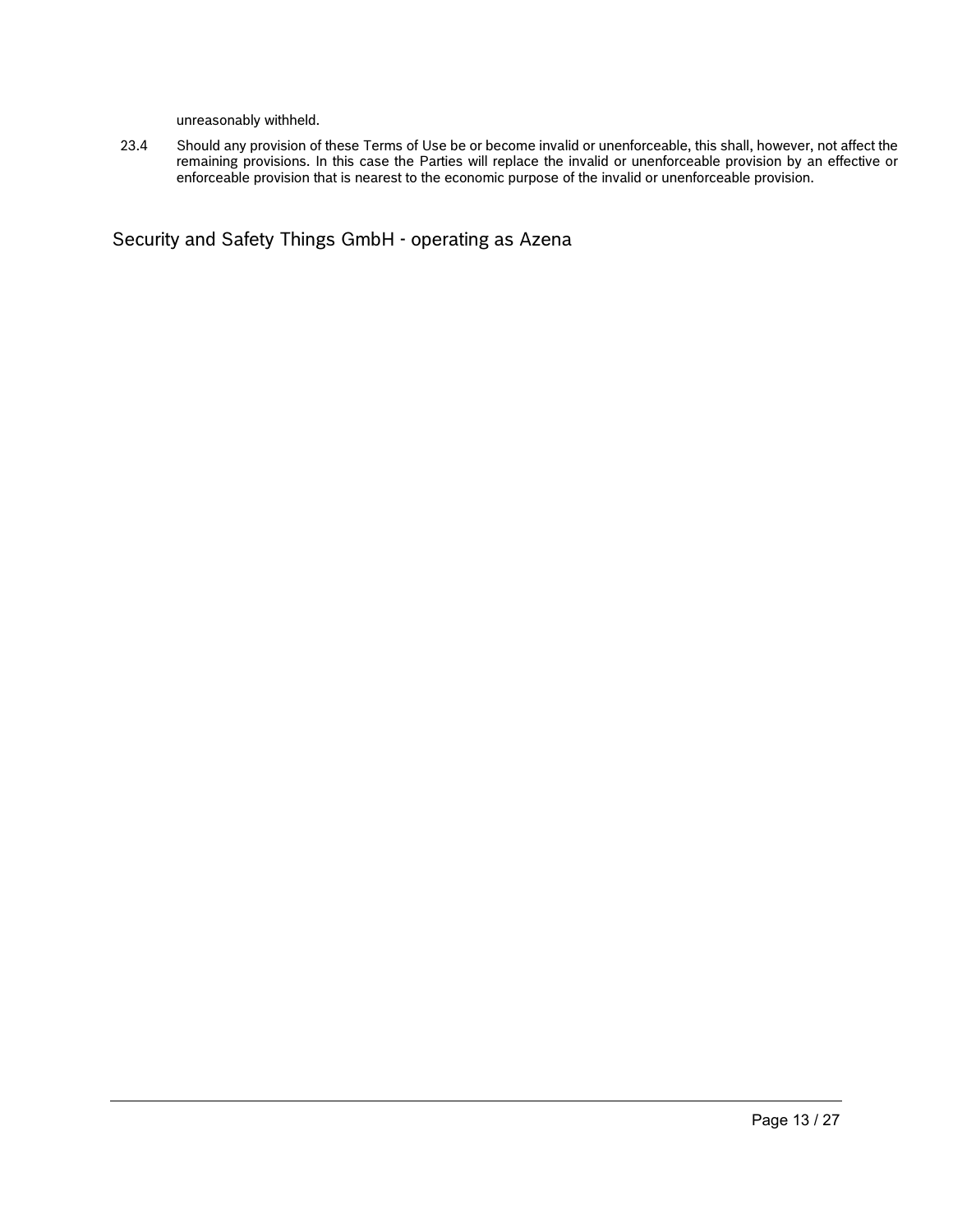unreasonably withheld.

23.4 Should any provision of these Terms of Use be or become invalid or unenforceable, this shall, however, not affect the remaining provisions. In this case the Parties will replace the invalid or unenforceable provision by an effective or enforceable provision that is nearest to the economic purpose of the invalid or unenforceable provision.

Security and Safety Things GmbH - operating as Azena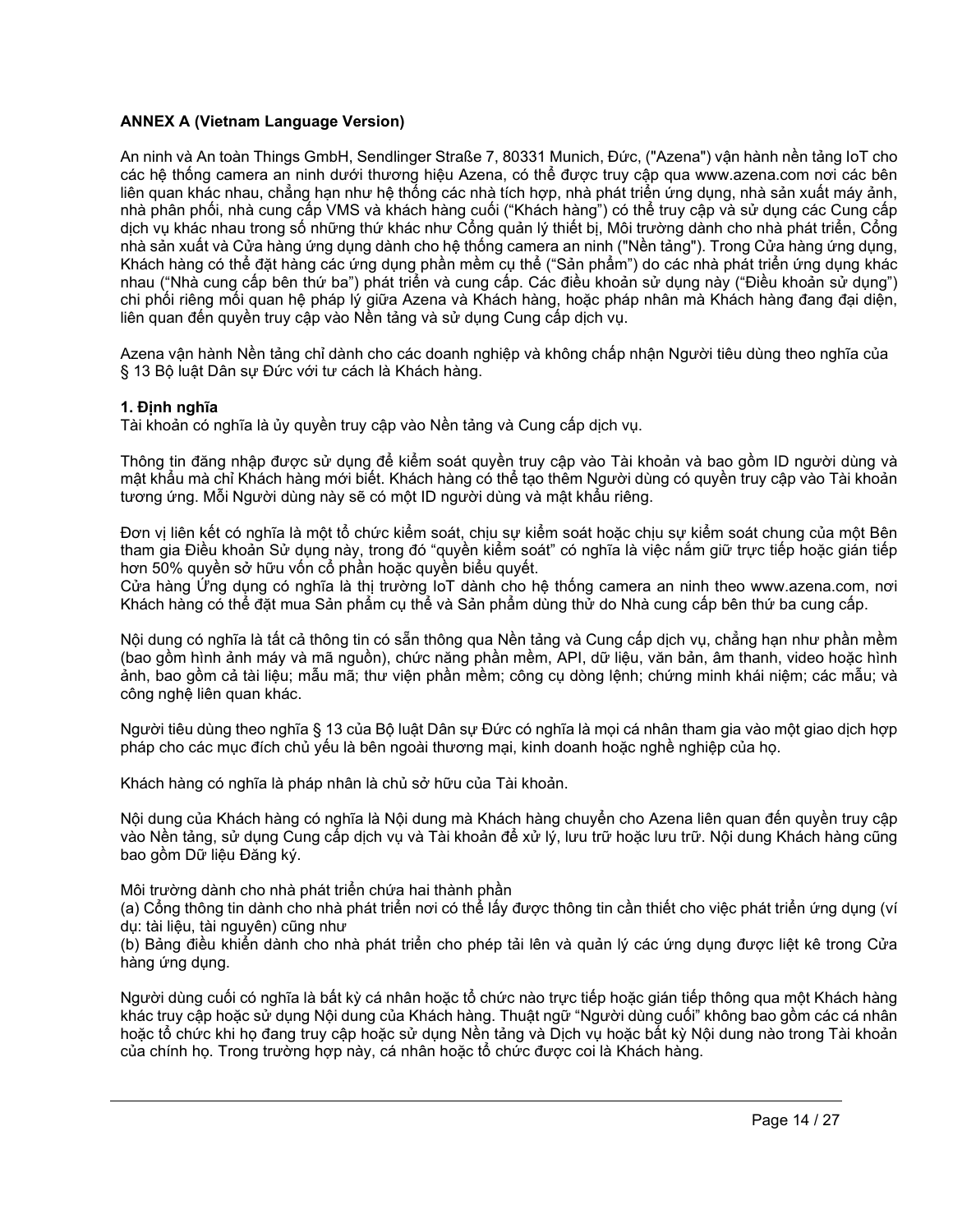# **ANNEX A (Vietnam Language Version)**

An ninh và An toàn Things GmbH, Sendlinger Straße 7, 80331 Munich, Đức, ("Azena") vận hành nền tảng IoT cho các hệ thống camera an ninh dưới thương hiệu Azena, có thể được truy cập qua www.azena.com nơi các bên liên quan khác nhau, chẳng hạn như hệ thống các nhà tích hợp, nhà phát triển ứng dụng, nhà sản xuất máy ảnh, nhà phân phối, nhà cung cấp VMS và khách hàng cuối ("Khách hàng") có thể truy cập và sử dụng các Cung cấp dịch vụ khác nhau trong số những thứ khác như Cổng quản lý thiết bị, Môi trường dành cho nhà phát triển, Cổng nhà sản xuất và Cửa hàng ứng dụng dành cho hệ thống camera an ninh ("Nền tảng"). Trong Cửa hàng ứng dụng, Khách hàng có thể đặt hàng các ứng dụng phần mềm cụ thể ("Sản phẩm") do các nhà phát triển ứng dụng khác nhau ("Nhà cung cấp bên thứ ba") phát triển và cung cấp. Các điều khoản sử dụng này ("Điều khoản sử dụng") chi phối riêng mối quan hệ pháp lý giữa Azena và Khách hàng, hoặc pháp nhân mà Khách hàng đang đại diện, liên quan đến quyền truy cập vào Nền tảng và sử dụng Cung cấp dịch vụ.

Azena vận hành Nền tảng chỉ dành cho các doanh nghiệp và không chấp nhận Người tiêu dùng theo nghĩa của § 13 Bộ luật Dân sự Đức với tư cách là Khách hàng.

# **1. Định nghĩa**

Tài khoản có nghĩa là ủy quyền truy cập vào Nền tảng và Cung cấp dịch vụ.

Thông tin đăng nhập được sử dụng để kiểm soát quyền truy cập vào Tài khoản và bao gồm ID người dùng và mật khẩu mà chỉ Khách hàng mới biết. Khách hàng có thể tạo thêm Người dùng có quyền truy cập vào Tài khoản tương ứng. Mỗi Người dùng này sẽ có một ID người dùng và mật khẩu riêng.

Đơn vị liên kết có nghĩa là một tổ chức kiểm soát, chịu sự kiểm soát hoặc chịu sự kiểm soát chung của một Bên tham gia Điều khoản Sử dụng này, trong đó "quyền kiểm soát" có nghĩa là việc nắm giữ trực tiếp hoặc gián tiếp hơn 50% quyền sở hữu vốn cổ phần hoặc quyền biểu quyết.

Cửa hàng Ứng dụng có nghĩa là thị trường IoT dành cho hệ thống camera an ninh theo www.azena.com, nơi Khách hàng có thể đặt mua Sản phẩm cụ thể và Sản phẩm dùng thử do Nhà cung cấp bên thứ ba cung cấp.

Nội dung có nghĩa là tất cả thông tin có sẵn thông qua Nền tảng và Cung cấp dịch vụ, chẳng hạn như phần mềm (bao gồm hình ảnh máy và mã nguồn), chức năng phần mềm, API, dữ liệu, văn bản, âm thanh, video hoặc hình ảnh, bao gồm cả tài liệu; mẫu mã; thư viện phần mềm; công cụ dòng lệnh; chứng minh khái niệm; các mẫu; và công nghệ liên quan khác.

Người tiêu dùng theo nghĩa § 13 của Bộ luật Dân sự Đức có nghĩa là mọi cá nhân tham gia vào một giao dịch hợp pháp cho các mục đích chủ yếu là bên ngoài thương mại, kinh doanh hoặc nghề nghiệp của họ.

Khách hàng có nghĩa là pháp nhân là chủ sở hữu của Tài khoản.

Nội dung của Khách hàng có nghĩa là Nội dung mà Khách hàng chuyển cho Azena liên quan đến quyền truy cập vào Nền tảng, sử dụng Cung cấp dịch vụ và Tài khoản để xử lý, lưu trữ hoặc lưu trữ. Nội dung Khách hàng cũng bao gồm Dữ liệu Đăng ký.

Môi trường dành cho nhà phát triển chứa hai thành phần

(a) Cổng thông tin dành cho nhà phát triển nơi có thể lấy được thông tin cần thiết cho việc phát triển ứng dụng (ví dụ: tài liệu, tài nguyên) cũng như

(b) Bảng điều khiển dành cho nhà phát triển cho phép tải lên và quản lý các ứng dụng được liệt kê trong Cửa hàng ứng dụng.

Người dùng cuối có nghĩa là bất kỳ cá nhân hoặc tổ chức nào trực tiếp hoặc gián tiếp thông qua một Khách hàng khác truy cập hoặc sử dụng Nội dung của Khách hàng. Thuật ngữ "Người dùng cuối" không bao gồm các cá nhân hoặc tổ chức khi họ đang truy cập hoặc sử dụng Nền tảng và Dịch vụ hoặc bất kỳ Nội dung nào trong Tài khoản của chính họ. Trong trường hợp này, cá nhân hoặc tổ chức được coi là Khách hàng.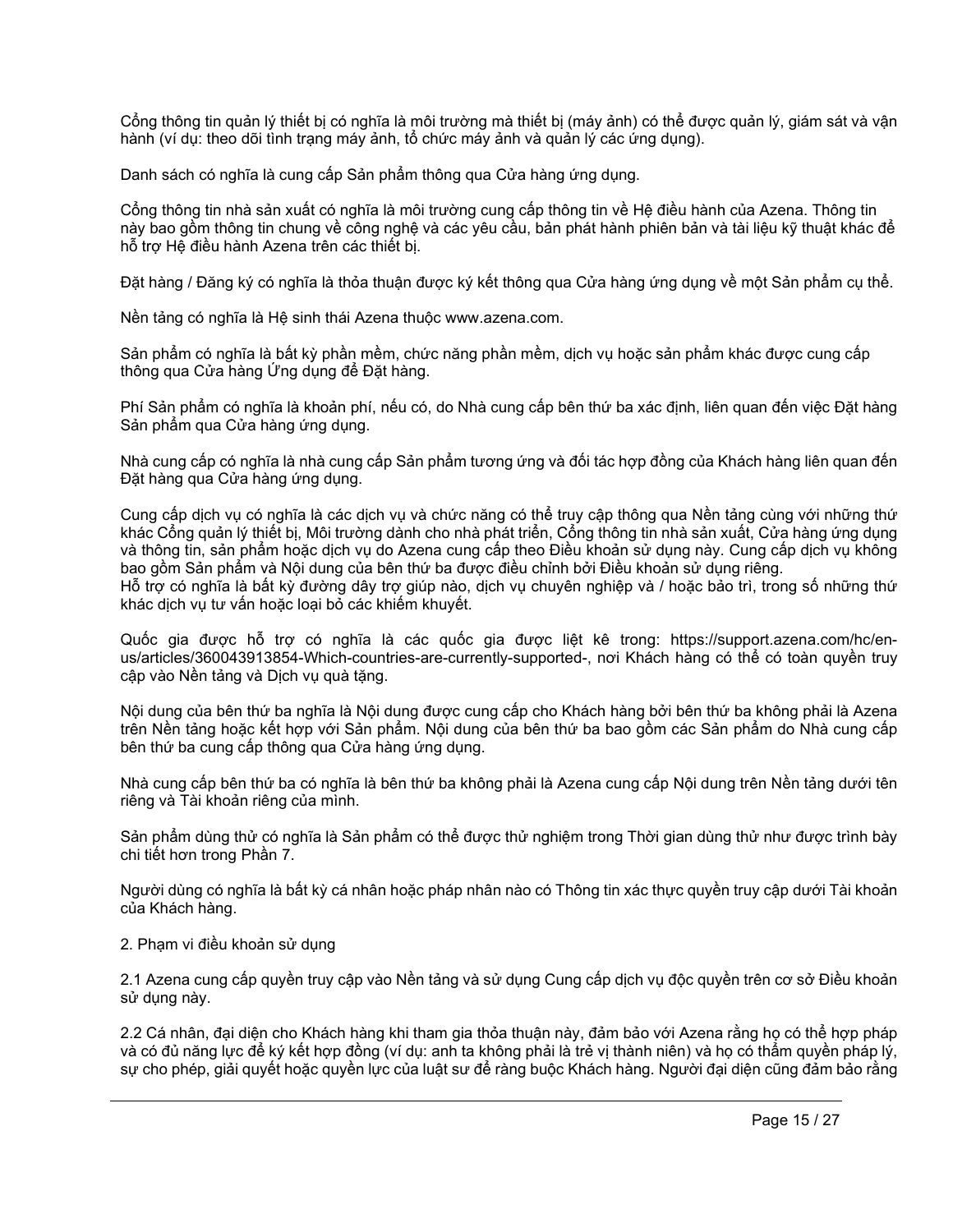Cổng thông tin quản lý thiết bị có nghĩa là môi trường mà thiết bị (máy ảnh) có thể được quản lý, giám sát và vận hành (ví dụ: theo dõi tình trạng máy ảnh, tổ chức máy ảnh và quản lý các ứng dụng).

Danh sách có nghĩa là cung cấp Sản phẩm thông qua Cửa hàng ứng dụng.

Cổng thông tin nhà sản xuất có nghĩa là môi trường cung cấp thông tin về Hệ điều hành của Azena. Thông tin này bao gồm thông tin chung về công nghệ và các yêu cầu, bản phát hành phiên bản và tài liệu kỹ thuật khác để hỗ trợ Hệ điều hành Azena trên các thiết bị.

Đặt hàng / Đăng ký có nghĩa là thỏa thuận được ký kết thông qua Cửa hàng ứng dụng về một Sản phẩm cụ thể.

Nền tảng có nghĩa là Hệ sinh thái Azena thuộc www.azena.com.

Sản phẩm có nghĩa là bất kỳ phần mềm, chức năng phần mềm, dịch vụ hoặc sản phẩm khác được cung cấp thông qua Cửa hàng Ứng dụng để Đặt hàng.

Phí Sản phẩm có nghĩa là khoản phí, nếu có, do Nhà cung cấp bên thứ ba xác định, liên quan đến việc Đặt hàng Sản phẩm qua Cửa hàng ứng dụng.

Nhà cung cấp có nghĩa là nhà cung cấp Sản phẩm tương ứng và đối tác hợp đồng của Khách hàng liên quan đến Đặt hàng qua Cửa hàng ứng dụng.

Cung cấp dịch vụ có nghĩa là các dịch vụ và chức năng có thể truy cập thông qua Nền tảng cùng với những thứ khác Cổng quản lý thiết bị, Môi trường dành cho nhà phát triển, Cổng thông tin nhà sản xuất, Cửa hàng ứng dụng và thông tin, sản phẩm hoặc dịch vụ do Azena cung cấp theo Điều khoản sử dụng này. Cung cấp dịch vụ không bao gồm Sản phẩm và Nội dung của bên thứ ba được điều chỉnh bởi Điều khoản sử dụng riêng. Hỗ trợ có nghĩa là bất kỳ đường dây trợ giúp nào, dịch vụ chuyên nghiệp và / hoặc bảo trì, trong số những thứ khác dịch vụ tư vấn hoặc loại bỏ các khiếm khuyết.

Quốc gia được hỗ trợ có nghĩa là các quốc gia được liệt kê trong: https://support.azena.com/hc/enus/articles/360043913854-Which-countries-are-currently-supported-, nơi Khách hàng có thể có toàn quyền truy cập vào Nền tảng và Dịch vụ quà tặng.

Nội dung của bên thứ ba nghĩa là Nội dung được cung cấp cho Khách hàng bởi bên thứ ba không phải là Azena trên Nền tảng hoặc kết hợp với Sản phẩm. Nội dung của bên thứ ba bao gồm các Sản phẩm do Nhà cung cấp bên thứ ba cung cấp thông qua Cửa hàng ứng dụng.

Nhà cung cấp bên thứ ba có nghĩa là bên thứ ba không phải là Azena cung cấp Nội dung trên Nền tảng dưới tên riêng và Tài khoản riêng của mình.

Sản phẩm dùng thử có nghĩa là Sản phẩm có thể được thử nghiệm trong Thời gian dùng thử như được trình bày chi tiết hơn trong Phần 7.

Người dùng có nghĩa là bất kỳ cá nhân hoặc pháp nhân nào có Thông tin xác thực quyền truy cập dưới Tài khoản của Khách hàng.

2. Phạm vi điều khoản sử dụng

2.1 Azena cung cấp quyền truy cập vào Nền tảng và sử dụng Cung cấp dịch vụ độc quyền trên cơ sở Điều khoản sử dụng này.

2.2 Cá nhân, đại diện cho Khách hàng khi tham gia thỏa thuận này, đảm bảo với Azena rằng họ có thể hợp pháp và có đủ năng lực để ký kết hợp đồng (ví dụ: anh ta không phải là trẻ vị thành niên) và họ có thẩm quyền pháp lý, sự cho phép, giải quyết hoặc quyền lực của luật sư để ràng buộc Khách hàng. Người đại diện cũng đảm bảo rằng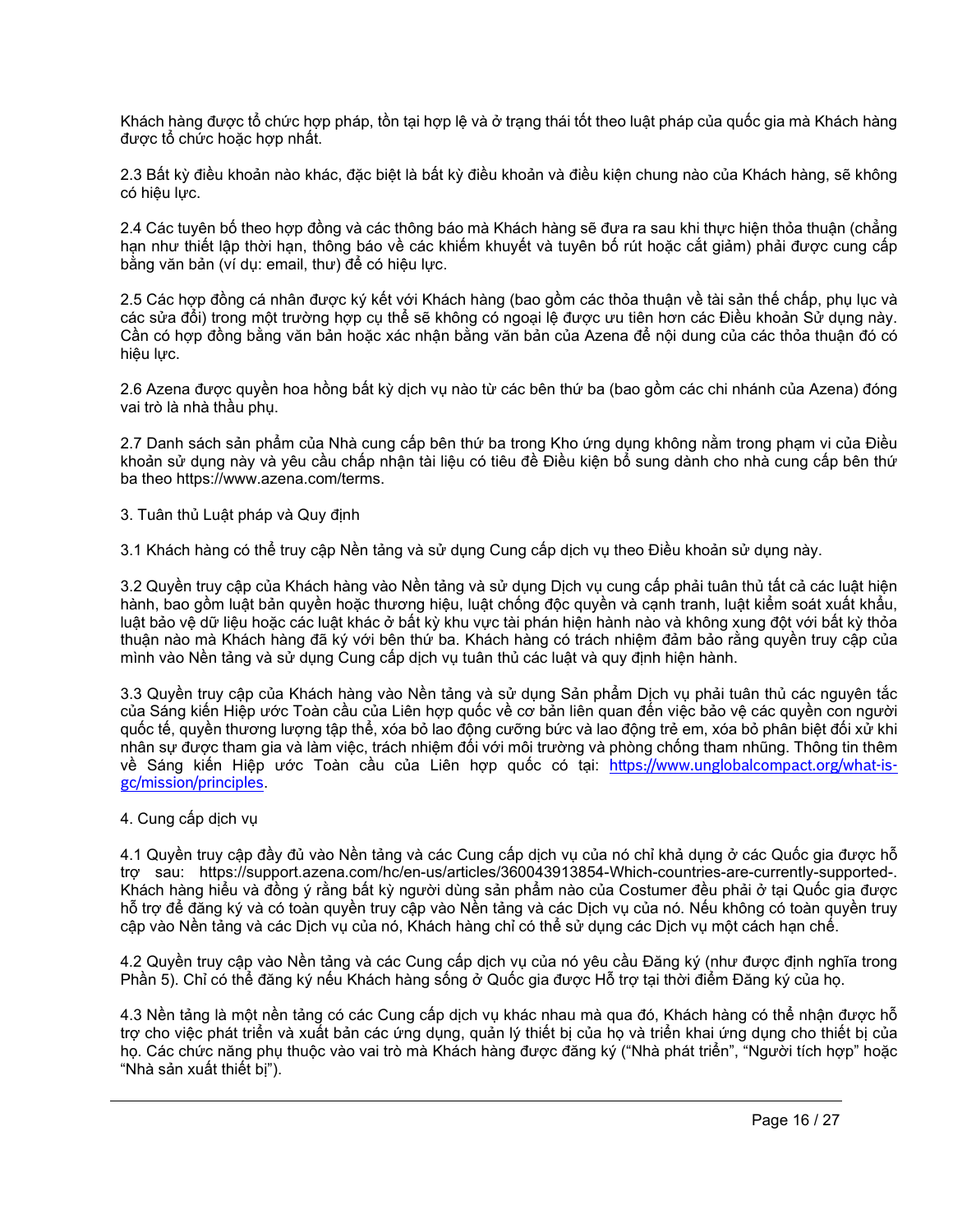Khách hàng được tổ chức hợp pháp, tồn tại hợp lệ và ở trạng thái tốt theo luật pháp của quốc gia mà Khách hàng được tổ chức hoặc hợp nhất.

2.3 Bất kỳ điều khoản nào khác, đặc biệt là bất kỳ điều khoản và điều kiện chung nào của Khách hàng, sẽ không có hiệu lực.

2.4 Các tuyên bố theo hợp đồng và các thông báo mà Khách hàng sẽ đưa ra sau khi thực hiện thỏa thuận (chẳng hạn như thiết lập thời hạn, thông báo về các khiếm khuyết và tuyên bố rút hoặc cắt giảm) phải được cung cấp bằng văn bản (ví dụ: email, thư) để có hiệu lực.

2.5 Các hợp đồng cá nhân được ký kết với Khách hàng (bao gồm các thỏa thuận về tài sản thế chấp, phụ lục và các sửa đổi) trong một trường hợp cụ thể sẽ không có ngoại lệ được ưu tiên hơn các Điều khoản Sử dụng này. Cần có hợp đồng bằng văn bản hoặc xác nhận bằng văn bản của Azena để nội dung của các thỏa thuận đó có hiệu lực.

2.6 Azena được quyền hoa hồng bất kỳ dịch vụ nào từ các bên thứ ba (bao gồm các chi nhánh của Azena) đóng vai trò là nhà thầu phụ.

2.7 Danh sách sản phẩm của Nhà cung cấp bên thứ ba trong Kho ứng dụng không nằm trong phạm vi của Điều khoản sử dụng này và yêu cầu chấp nhận tài liệu có tiêu đề Điều kiện bổ sung dành cho nhà cung cấp bên thứ ba theo https://www.azena.com/terms.

3. Tuân thủ Luật pháp và Quy định

3.1 Khách hàng có thể truy cập Nền tảng và sử dụng Cung cấp dịch vụ theo Điều khoản sử dụng này.

3.2 Quyền truy cập của Khách hàng vào Nền tảng và sử dụng Dịch vụ cung cấp phải tuân thủ tất cả các luật hiện hành, bao gồm luật bản quyền hoặc thương hiệu, luật chống độc quyền và cạnh tranh, luật kiểm soát xuất khẩu, luật bảo vệ dữ liệu hoặc các luật khác ở bất kỳ khu vực tài phán hiện hành nào và không xung đột với bất kỳ thỏa thuận nào mà Khách hàng đã ký với bên thứ ba. Khách hàng có trách nhiệm đảm bảo rằng quyền truy cập của mình vào Nền tảng và sử dụng Cung cấp dịch vụ tuân thủ các luật và quy định hiện hành.

3.3 Quyền truy cập của Khách hàng vào Nền tảng và sử dụng Sản phẩm Dịch vụ phải tuân thủ các nguyên tắc của Sáng kiến Hiệp ước Toàn cầu của Liên hợp quốc về cơ bản liên quan đến việc bảo vệ các quyền con người quốc tế, quyền thương lượng tập thể, xóa bỏ lao động cưỡng bức và lao động trẻ em, xóa bỏ phân biệt đối xử khi nhân sự được tham gia và làm việc, trách nhiệm đối với môi trường và phòng chống tham nhũng. Thông tin thêm về Sáng kiến Hiệp ước Toàn cầu của Liên hợp quốc có tại: [https://www.unglobalcompact.org/what-is](https://www.unglobalcompact.org/what-is-gc/mission/principles)[gc/mission/principles](https://www.unglobalcompact.org/what-is-gc/mission/principles).

# 4. Cung cấp dịch vụ

4.1 Quyền truy cập đầy đủ vào Nền tảng và các Cung cấp dịch vụ của nó chỉ khả dụng ở các Quốc gia được hỗ trợ sau: https://support.azena.com/hc/en-us/articles/360043913854-Which-countries-are-currently-supported-. Khách hàng hiểu và đồng ý rằng bất kỳ người dùng sản phẩm nào của Costumer đều phải ở tại Quốc gia được hỗ trợ để đăng ký và có toàn quyền truy cập vào Nền tảng và các Dịch vụ của nó. Nếu không có toàn quyền truy cập vào Nền tảng và các Dịch vụ của nó, Khách hàng chỉ có thể sử dụng các Dịch vụ một cách hạn chế.

4.2 Quyền truy cập vào Nền tảng và các Cung cấp dịch vụ của nó yêu cầu Đăng ký (như được định nghĩa trong Phần 5). Chỉ có thể đăng ký nếu Khách hàng sống ở Quốc gia được Hỗ trợ tại thời điểm Đăng ký của họ.

4.3 Nền tảng là một nền tảng có các Cung cấp dịch vụ khác nhau mà qua đó, Khách hàng có thể nhận được hỗ trợ cho việc phát triển và xuất bản các ứng dụng, quản lý thiết bị của họ và triển khai ứng dụng cho thiết bị của họ. Các chức năng phụ thuộc vào vai trò mà Khách hàng được đăng ký ("Nhà phát triển", "Người tích hợp" hoặc "Nhà sản xuất thiết bị").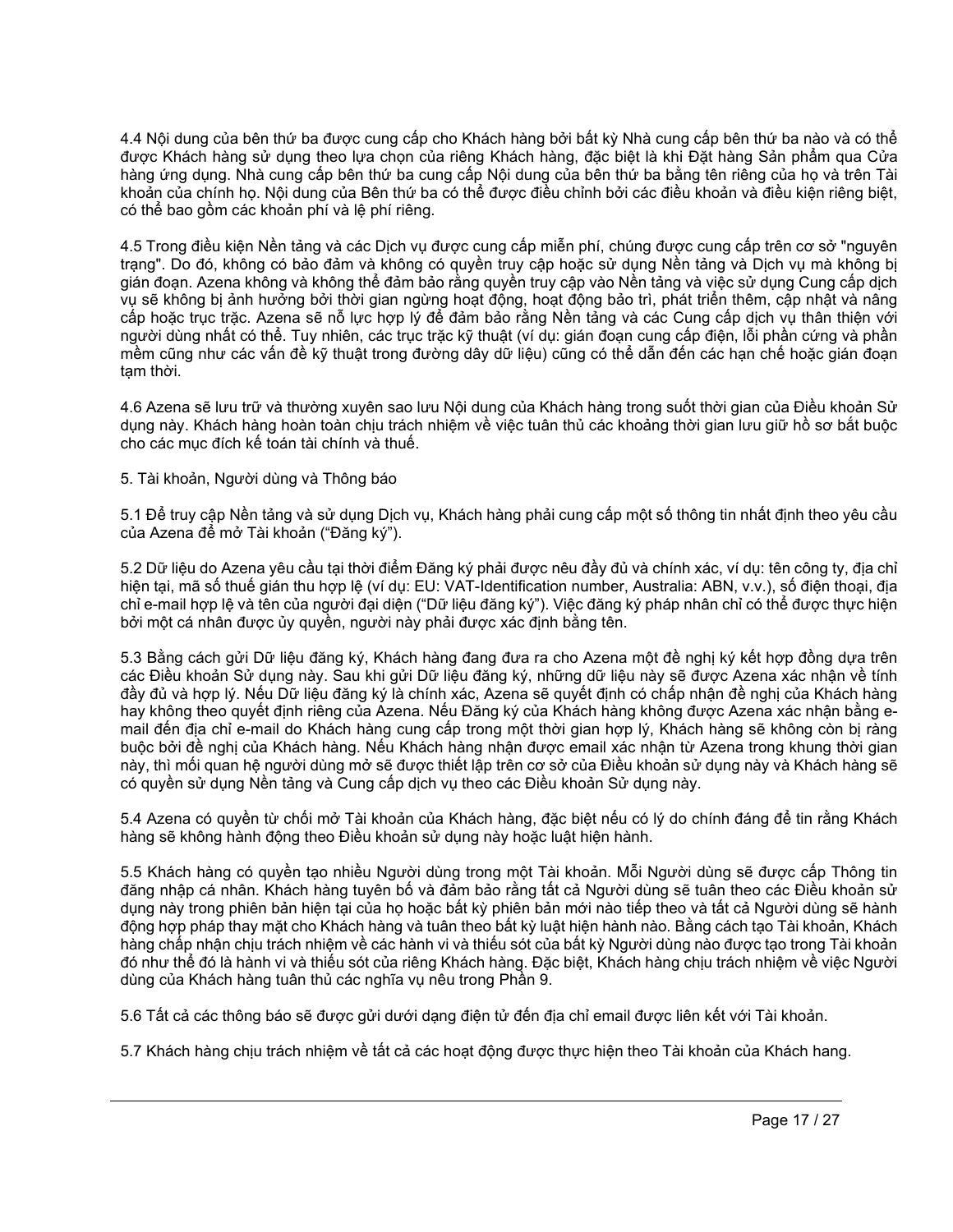4.4 Nội dung của bên thứ ba được cung cấp cho Khách hàng bởi bất kỳ Nhà cung cấp bên thứ ba nào và có thể được Khách hàng sử dụng theo lựa chọn của riêng Khách hàng, đặc biệt là khi Đặt hàng Sản phẩm qua Cửa hàng ứng dụng. Nhà cung cấp bên thứ ba cung cấp Nội dung của bên thứ ba bằng tên riêng của họ và trên Tài khoản của chính họ. Nội dung của Bên thứ ba có thể được điều chỉnh bởi các điều khoản và điều kiện riêng biệt, có thể bao gồm các khoản phí và lệ phí riêng.

4.5 Trong điều kiện Nền tảng và các Dịch vụ được cung cấp miễn phí, chúng được cung cấp trên cơ sở "nguyên trạng". Do đó, không có bảo đảm và không có quyền truy cập hoặc sử dụng Nền tảng và Dịch vụ mà không bị gián đoạn. Azena không và không thể đảm bảo rằng quyền truy cập vào Nền tảng và việc sử dụng Cung cấp dịch vụ sẽ không bị ảnh hưởng bởi thời gian ngừng hoạt động, hoạt động bảo trì, phát triển thêm, cập nhật và nâng cấp hoặc trục trặc. Azena sẽ nỗ lực hợp lý để đảm bảo rằng Nền tảng và các Cung cấp dịch vụ thân thiện với người dùng nhất có thể. Tuy nhiên, các trục trặc kỹ thuật (ví dụ: gián đoạn cung cấp điện, lỗi phần cứng và phần mềm cũng như các vấn đề kỹ thuật trong đường dây dữ liệu) cũng có thể dẫn đến các hạn chế hoặc gián đoạn tạm thời.

4.6 Azena sẽ lưu trữ và thường xuyên sao lưu Nội dung của Khách hàng trong suốt thời gian của Điều khoản Sử dụng này. Khách hàng hoàn toàn chịu trách nhiệm về việc tuân thủ các khoảng thời gian lưu giữ hồ sơ bắt buộc cho các mục đích kế toán tài chính và thuế.

5. Tài khoản, Người dùng và Thông báo

5.1 Để truy cập Nền tảng và sử dụng Dịch vụ, Khách hàng phải cung cấp một số thông tin nhất định theo yêu cầu của Azena để mở Tài khoản ("Đăng ký").

5.2 Dữ liệu do Azena yêu cầu tại thời điểm Đăng ký phải được nêu đầy đủ và chính xác, ví dụ: tên công ty, địa chỉ hiện tại, mã số thuế gián thu hợp lệ (ví dụ: EU: VAT-Identification number, Australia: ABN, v.v.), số điện thoại, địa chỉ e-mail hợp lệ và tên của người đại diện ("Dữ liệu đăng ký"). Việc đăng ký pháp nhân chỉ có thể được thực hiện bởi một cá nhân được ủy quyền, người này phải được xác định bằng tên.

5.3 Bằng cách gửi Dữ liệu đăng ký, Khách hàng đang đưa ra cho Azena một đề nghị ký kết hợp đồng dựa trên các Điều khoản Sử dụng này. Sau khi gửi Dữ liệu đăng ký, những dữ liệu này sẽ được Azena xác nhận về tính đầy đủ và hợp lý. Nếu Dữ liệu đăng ký là chính xác, Azena sẽ quyết định có chấp nhận đề nghị của Khách hàng hay không theo quyết định riêng của Azena. Nếu Đăng ký của Khách hàng không được Azena xác nhận bằng email đến địa chỉ e-mail do Khách hàng cung cấp trong một thời gian hợp lý, Khách hàng sẽ không còn bị ràng buộc bởi đề nghị của Khách hàng. Nếu Khách hàng nhận được email xác nhận từ Azena trong khung thời gian này, thì mối quan hệ người dùng mở sẽ được thiết lập trên cơ sở của Điều khoản sử dụng này và Khách hàng sẽ có quyền sử dụng Nền tảng và Cung cấp dịch vụ theo các Điều khoản Sử dụng này.

5.4 Azena có quyền từ chối mở Tài khoản của Khách hàng, đặc biệt nếu có lý do chính đáng để tin rằng Khách hàng sẽ không hành động theo Điều khoản sử dụng này hoặc luật hiện hành.

5.5 Khách hàng có quyền tạo nhiều Người dùng trong một Tài khoản. Mỗi Người dùng sẽ được cấp Thông tin đăng nhập cá nhân. Khách hàng tuyên bố và đảm bảo rằng tất cả Người dùng sẽ tuân theo các Điều khoản sử dụng này trong phiên bản hiện tại của họ hoặc bất kỳ phiên bản mới nào tiếp theo và tất cả Người dùng sẽ hành động hợp pháp thay mặt cho Khách hàng và tuân theo bất kỳ luật hiện hành nào. Bằng cách tạo Tài khoản, Khách hàng chấp nhận chịu trách nhiệm về các hành vi và thiếu sót của bất kỳ Người dùng nào được tạo trong Tài khoản đó như thể đó là hành vi và thiếu sót của riêng Khách hàng. Đặc biệt, Khách hàng chịu trách nhiệm về việc Người dùng của Khách hàng tuân thủ các nghĩa vụ nêu trong Phần 9.

5.6 Tất cả các thông báo sẽ được gửi dưới dạng điện tử đến địa chỉ email được liên kết với Tài khoản.

5.7 Khách hàng chịu trách nhiệm về tất cả các hoạt động được thực hiện theo Tài khoản của Khách hang.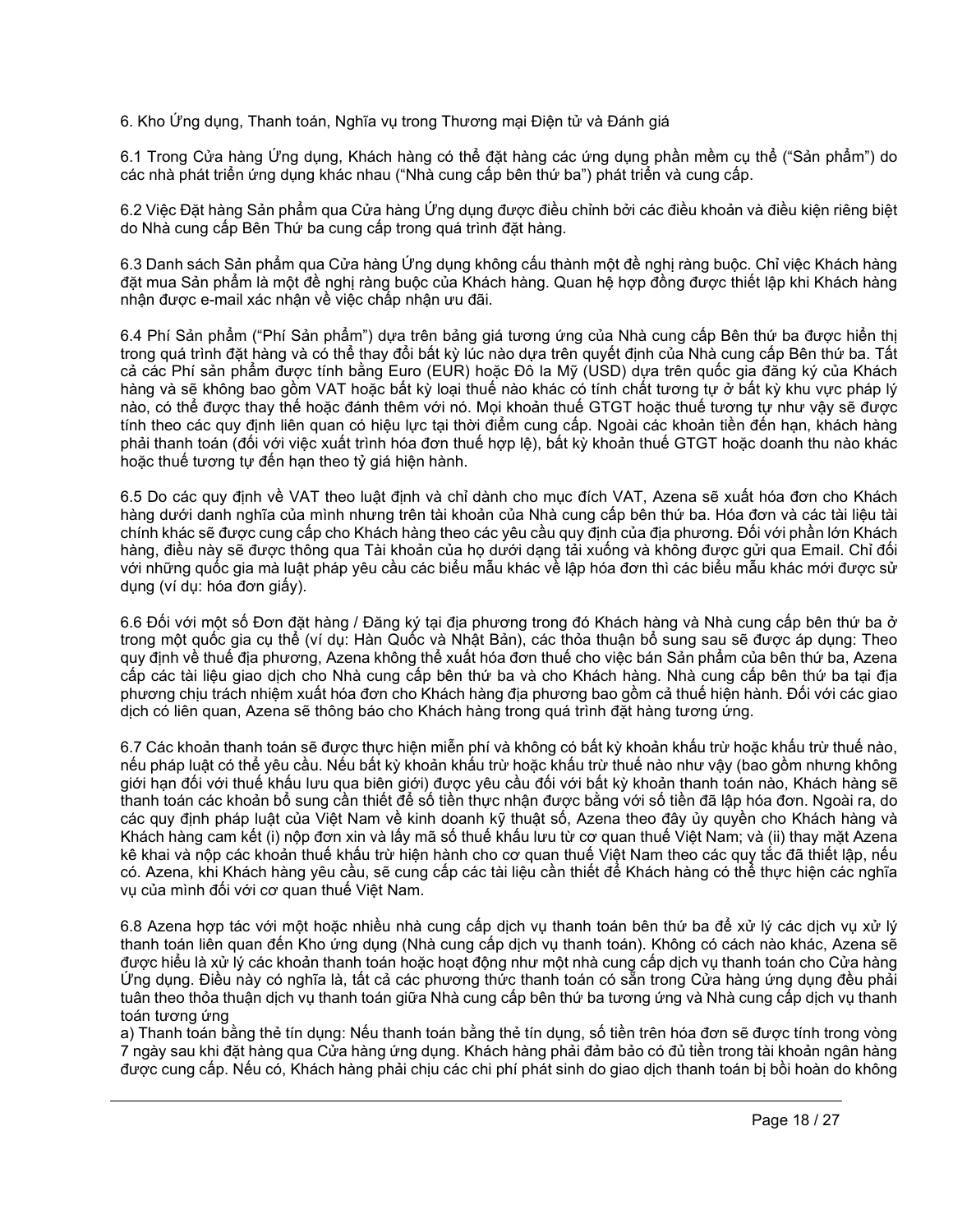6. Kho Ứng dụng, Thanh toán, Nghĩa vụ trong Thương mại Điện tử và Đánh giá

6.1 Trong Cửa hàng Ứng dụng, Khách hàng có thể đặt hàng các ứng dụng phần mềm cụ thể ("Sản phẩm") do các nhà phát triển ứng dụng khác nhau ("Nhà cung cấp bên thứ ba") phát triển và cung cấp.

6.2 Việc Đặt hàng Sản phẩm qua Cửa hàng Ứng dụng được điều chỉnh bởi các điều khoản và điều kiện riêng biệt do Nhà cung cấp Bên Thứ ba cung cấp trong quá trình đặt hàng.

6.3 Danh sách Sản phẩm qua Cửa hàng Ứng dụng không cấu thành một đề nghị ràng buộc. Chỉ việc Khách hàng đặt mua Sản phẩm là một đề nghị ràng buộc của Khách hàng. Quan hệ hợp đồng được thiết lập khi Khách hàng nhận được e-mail xác nhận về việc chấp nhận ưu đãi.

6.4 Phí Sản phẩm ("Phí Sản phẩm") dựa trên bảng giá tương ứng của Nhà cung cấp Bên thứ ba được hiển thị trong quá trình đặt hàng và có thể thay đổi bất kỳ lúc nào dựa trên quyết định của Nhà cung cấp Bên thứ ba. Tất cả các Phí sản phẩm được tính bằng Euro (EUR) hoặc Đô la Mỹ (USD) dựa trên quốc gia đăng ký của Khách hàng và sẽ không bao gồm VAT hoặc bất kỳ loại thuế nào khác có tính chất tương tự ở bất kỳ khu vực pháp lý nào, có thể được thay thế hoặc đánh thêm với nó. Mọi khoản thuế GTGT hoặc thuế tương tự như vậy sẽ được tính theo các quy định liên quan có hiệu lực tại thời điểm cung cấp. Ngoài các khoản tiền đến hạn, khách hàng phải thanh toán (đối với việc xuất trình hóa đơn thuế hợp lệ), bất kỳ khoản thuế GTGT hoặc doanh thu nào khác hoặc thuế tương tự đến hạn theo tỷ giá hiện hành.

6.5 Do các quy định về VAT theo luật định và chỉ dành cho mục đích VAT, Azena sẽ xuất hóa đơn cho Khách hàng dưới danh nghĩa của mình nhưng trên tài khoản của Nhà cung cấp bên thứ ba. Hóa đơn và các tài liệu tài chính khác sẽ được cung cấp cho Khách hàng theo các yêu cầu quy định của địa phương. Đối với phần lớn Khách hàng, điều này sẽ được thông qua Tài khoản của họ dưới dạng tải xuống và không được gửi qua Email. Chỉ đối với những quốc gia mà luật pháp yêu cầu các biểu mẫu khác về lập hóa đơn thì các biểu mẫu khác mới được sử dụng (ví dụ: hóa đơn giấy).

6.6 Đối với một số Đơn đặt hàng / Đăng ký tại địa phương trong đó Khách hàng và Nhà cung cấp bên thứ ba ở trong một quốc gia cụ thể (ví dụ: Hàn Quốc và Nhật Bản), các thỏa thuận bổ sung sau sẽ được áp dụng: Theo quy định về thuế địa phương, Azena không thể xuất hóa đơn thuế cho việc bán Sản phẩm của bên thứ ba, Azena cấp các tài liệu giao dịch cho Nhà cung cấp bên thứ ba và cho Khách hàng. Nhà cung cấp bên thứ ba tại địa phương chịu trách nhiệm xuất hóa đơn cho Khách hàng địa phương bao gồm cả thuế hiện hành. Đối với các giao dịch có liên quan, Azena sẽ thông báo cho Khách hàng trong quá trình đặt hàng tương ứng.

6.7 Các khoản thanh toán sẽ được thực hiện miễn phí và không có bất kỳ khoản khấu trừ hoặc khấu trừ thuế nào, nếu pháp luật có thể yêu cầu. Nếu bất kỳ khoản khấu trừ hoặc khấu trừ thuế nào như vậy (bao gồm nhưng không giới hạn đối với thuế khấu lưu qua biên giới) được yêu cầu đối với bất kỳ khoản thanh toán nào, Khách hàng sẽ thanh toán các khoản bổ sung cần thiết để số tiền thực nhận được bằng với số tiền đã lập hóa đơn. Ngoài ra, do các quy định pháp luật của Việt Nam về kinh doanh kỹ thuật số, Azena theo đây ủy quyền cho Khách hàng và Khách hàng cam kết (i) nộp đơn xin và lấy mã số thuế khấu lưu từ cơ quan thuế Việt Nam; và (ii) thay mặt Azena kê khai và nộp các khoản thuế khấu trừ hiện hành cho cơ quan thuế Việt Nam theo các quy tắc đã thiết lập, nếu có. Azena, khi Khách hàng yêu cầu, sẽ cung cấp các tài liệu cần thiết để Khách hàng có thể thực hiện các nghĩa vụ của mình đối với cơ quan thuế Việt Nam.

6.8 Azena hợp tác với một hoặc nhiều nhà cung cấp dịch vụ thanh toán bên thứ ba để xử lý các dịch vụ xử lý thanh toán liên quan đến Kho ứng dụng (Nhà cung cấp dịch vụ thanh toán). Không có cách nào khác, Azena sẽ được hiểu là xử lý các khoản thanh toán hoặc hoạt động như một nhà cung cấp dịch vụ thanh toán cho Cửa hàng Ứng dụng. Điều này có nghĩa là, tất cả các phương thức thanh toán có sẵn trong Cửa hàng ứng dụng đều phải tuân theo thỏa thuận dịch vụ thanh toán giữa Nhà cung cấp bên thứ ba tương ứng và Nhà cung cấp dịch vụ thanh toán tương ứng

a) Thanh toán bằng thẻ tín dụng: Nếu thanh toán bằng thẻ tín dụng, số tiền trên hóa đơn sẽ được tính trong vòng 7 ngày sau khi đặt hàng qua Cửa hàng ứng dụng. Khách hàng phải đảm bảo có đủ tiền trong tài khoản ngân hàng được cung cấp. Nếu có, Khách hàng phải chịu các chi phí phát sinh do giao dịch thanh toán bị bồi hoàn do không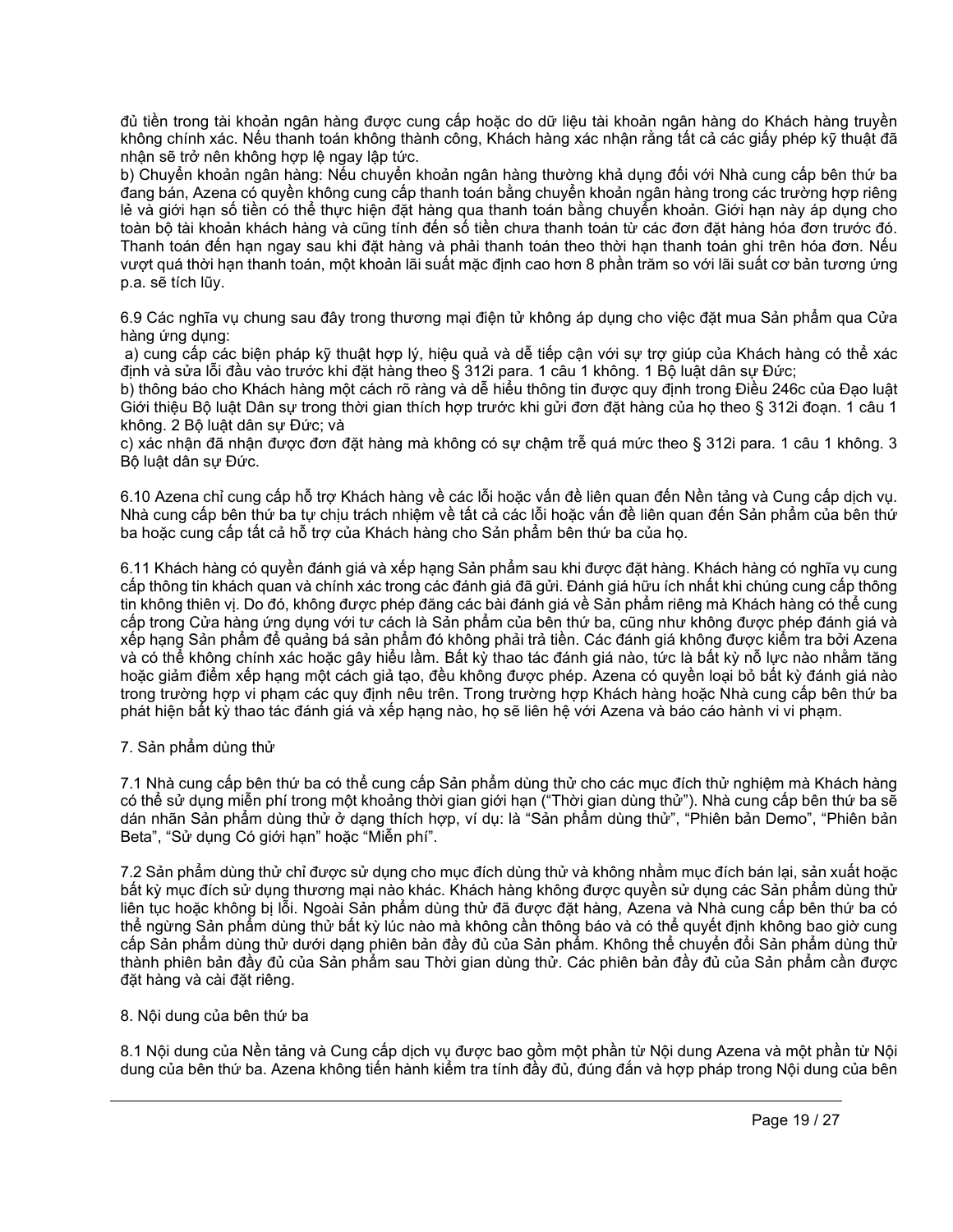đủ tiền trong tài khoản ngân hàng được cung cấp hoặc do dữ liệu tài khoản ngân hàng do Khách hàng truyền không chính xác. Nếu thanh toán không thành công, Khách hàng xác nhận rằng tất cả các giấy phép kỹ thuật đã nhận sẽ trở nên không hợp lệ ngay lập tức.

b) Chuyển khoản ngân hàng: Nếu chuyển khoản ngân hàng thường khả dụng đối với Nhà cung cấp bên thứ ba đang bán, Azena có quyền không cung cấp thanh toán bằng chuyển khoản ngân hàng trong các trường hợp riêng lẻ và giới hạn số tiền có thể thực hiện đặt hàng qua thanh toán bằng chuyển khoản. Giới hạn này áp dụng cho toàn bộ tài khoản khách hàng và cũng tính đến số tiền chưa thanh toán từ các đơn đặt hàng hóa đơn trước đó. Thanh toán đến hạn ngay sau khi đặt hàng và phải thanh toán theo thời hạn thanh toán ghi trên hóa đơn. Nếu vượt quá thời hạn thanh toán, một khoản lãi suất mặc định cao hơn 8 phần trăm so với lãi suất cơ bản tương ứng p.a. sẽ tích lũy.

6.9 Các nghĩa vụ chung sau đây trong thương mại điện tử không áp dụng cho việc đặt mua Sản phẩm qua Cửa hàng ứng dụng:

a) cung cấp các biện pháp kỹ thuật hợp lý, hiệu quả và dễ tiếp cận với sự trợ giúp của Khách hàng có thể xác định và sửa lỗi đầu vào trước khi đặt hàng theo § 312i para. 1 câu 1 không. 1 Bộ luật dân sự Đức;

b) thông báo cho Khách hàng một cách rõ ràng và dễ hiểu thông tin được quy định trong Điều 246c của Đạo luật Giới thiệu Bộ luật Dân sự trong thời gian thích hợp trước khi gửi đơn đặt hàng của họ theo § 312i đoạn. 1 câu 1 không. 2 Bộ luật dân sự Đức; và

c) xác nhận đã nhận được đơn đặt hàng mà không có sự chậm trễ quá mức theo § 312i para. 1 câu 1 không. 3 Bộ luật dân sự Đức.

6.10 Azena chỉ cung cấp hỗ trợ Khách hàng về các lỗi hoặc vấn đề liên quan đến Nền tảng và Cung cấp dịch vụ. Nhà cung cấp bên thứ ba tự chịu trách nhiệm về tất cả các lỗi hoặc vấn đề liên quan đến Sản phẩm của bên thứ ba hoặc cung cấp tất cả hỗ trợ của Khách hàng cho Sản phẩm bên thứ ba của họ.

6.11 Khách hàng có quyền đánh giá và xếp hạng Sản phẩm sau khi được đặt hàng. Khách hàng có nghĩa vụ cung cấp thông tin khách quan và chính xác trong các đánh giá đã gửi. Đánh giá hữu ích nhất khi chúng cung cấp thông tin không thiên vị. Do đó, không được phép đăng các bài đánh giá về Sản phẩm riêng mà Khách hàng có thể cung cấp trong Cửa hàng ứng dụng với tư cách là Sản phẩm của bên thứ ba, cũng như không được phép đánh giá và xếp hạng Sản phẩm để quảng bá sản phẩm đó không phải trả tiền. Các đánh giá không được kiểm tra bởi Azena và có thể không chính xác hoặc gây hiểu lầm. Bất kỳ thao tác đánh giá nào, tức là bất kỳ nỗ lực nào nhằm tăng hoặc giảm điểm xếp hạng một cách giả tạo, đều không được phép. Azena có quyền loại bỏ bất kỳ đánh giá nào trong trường hợp vi phạm các quy định nêu trên. Trong trường hợp Khách hàng hoặc Nhà cung cấp bên thứ ba phát hiện bất kỳ thao tác đánh giá và xếp hạng nào, họ sẽ liên hệ với Azena và báo cáo hành vi vi phạm.

# 7. Sản phẩm dùng thử

7.1 Nhà cung cấp bên thứ ba có thể cung cấp Sản phẩm dùng thử cho các mục đích thử nghiệm mà Khách hàng có thể sử dụng miễn phí trong một khoảng thời gian giới hạn ("Thời gian dùng thử"). Nhà cung cấp bên thứ ba sẽ dán nhãn Sản phẩm dùng thử ở dạng thích hợp, ví dụ: là "Sản phẩm dùng thử", "Phiên bản Demo", "Phiên bản Beta", "Sử dụng Có giới hạn" hoặc "Miễn phí".

7.2 Sản phẩm dùng thử chỉ được sử dụng cho mục đích dùng thử và không nhằm mục đích bán lại, sản xuất hoặc bất kỳ mục đích sử dụng thương mại nào khác. Khách hàng không được quyền sử dụng các Sản phẩm dùng thử liên tục hoặc không bị lỗi. Ngoài Sản phẩm dùng thử đã được đặt hàng, Azena và Nhà cung cấp bên thứ ba có thể ngừng Sản phẩm dùng thử bất kỳ lúc nào mà không cần thông báo và có thể quyết định không bao giờ cung cấp Sản phẩm dùng thử dưới dạng phiên bản đầy đủ của Sản phẩm. Không thể chuyển đổi Sản phẩm dùng thử thành phiên bản đầy đủ của Sản phẩm sau Thời gian dùng thử. Các phiên bản đầy đủ của Sản phẩm cần được đặt hàng và cài đặt riêng.

## 8. Nội dung của bên thứ ba

8.1 Nội dung của Nền tảng và Cung cấp dịch vụ được bao gồm một phần từ Nội dung Azena và một phần từ Nội dung của bên thứ ba. Azena không tiến hành kiểm tra tính đầy đủ, đúng đắn và hợp pháp trong Nội dung của bên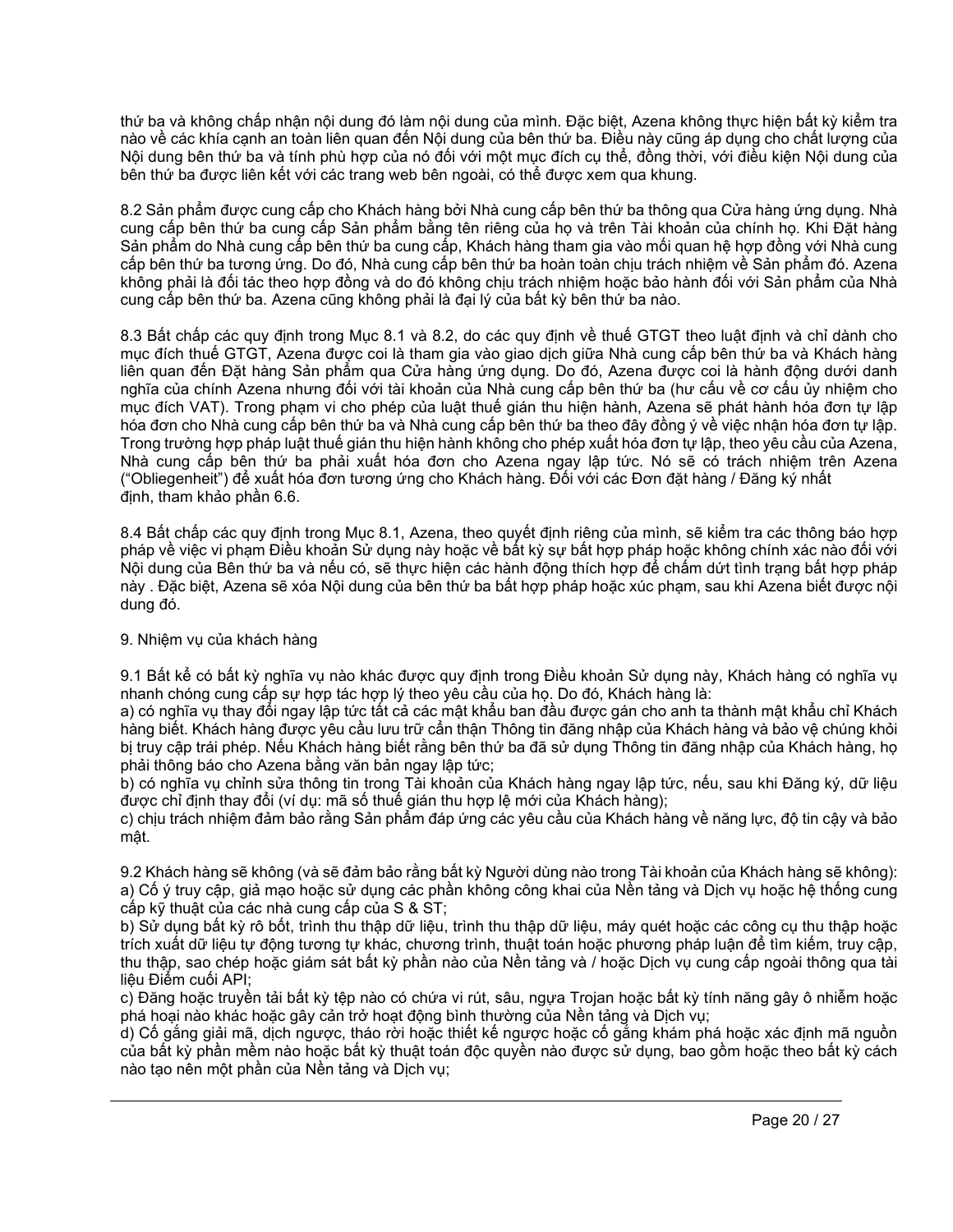thứ ba và không chấp nhận nội dung đó làm nội dung của mình. Đặc biệt, Azena không thực hiện bất kỳ kiểm tra nào về các khía cạnh an toàn liên quan đến Nội dung của bên thứ ba. Điều này cũng áp dụng cho chất lượng của Nội dung bên thứ ba và tính phù hợp của nó đối với một mục đích cụ thể, đồng thời, với điều kiện Nội dung của bên thứ ba được liên kết với các trang web bên ngoài, có thể được xem qua khung.

8.2 Sản phẩm được cung cấp cho Khách hàng bởi Nhà cung cấp bên thứ ba thông qua Cửa hàng ứng dụng. Nhà cung cấp bên thứ ba cung cấp Sản phẩm bằng tên riêng của họ và trên Tài khoản của chính họ. Khi Đặt hàng Sản phẩm do Nhà cung cấp bên thứ ba cung cấp, Khách hàng tham gia vào mối quan hệ hợp đồng với Nhà cung cấp bên thứ ba tương ứng. Do đó, Nhà cung cấp bên thứ ba hoàn toàn chịu trách nhiệm về Sản phẩm đó. Azena không phải là đối tác theo hợp đồng và do đó không chịu trách nhiệm hoặc bảo hành đối với Sản phẩm của Nhà cung cấp bên thứ ba. Azena cũng không phải là đại lý của bất kỳ bên thứ ba nào.

8.3 Bất chấp các quy định trong Mục 8.1 và 8.2, do các quy định về thuế GTGT theo luật định và chỉ dành cho mục đích thuế GTGT, Azena được coi là tham gia vào giao dịch giữa Nhà cung cấp bên thứ ba và Khách hàng liên quan đến Đặt hàng Sản phẩm qua Cửa hàng ứng dụng. Do đó, Azena được coi là hành động dưới danh nghĩa của chính Azena nhưng đối với tài khoản của Nhà cung cấp bên thứ ba (hư cấu về cơ cấu ủy nhiệm cho mục đích VAT). Trong phạm vi cho phép của luật thuế gián thu hiện hành, Azena sẽ phát hành hóa đơn tự lập hóa đơn cho Nhà cung cấp bên thứ ba và Nhà cung cấp bên thứ ba theo đây đồng ý về việc nhận hóa đơn tự lập. Trong trường hợp pháp luật thuế gián thu hiện hành không cho phép xuất hóa đơn tự lập, theo yêu cầu của Azena, Nhà cung cấp bên thứ ba phải xuất hóa đơn cho Azena ngay lập tức. Nó sẽ có trách nhiệm trên Azena ("Obliegenheit") để xuất hóa đơn tương ứng cho Khách hàng. Đối với các Đơn đặt hàng / Đăng ký nhất định, tham khảo phần 6.6.

8.4 Bất chấp các quy định trong Mục 8.1, Azena, theo quyết định riêng của mình, sẽ kiểm tra các thông báo hợp pháp về việc vi phạm Điều khoản Sử dụng này hoặc về bất kỳ sự bất hợp pháp hoặc không chính xác nào đối với Nội dung của Bên thứ ba và nếu có, sẽ thực hiện các hành động thích hợp để chấm dứt tình trạng bất hợp pháp này . Đặc biệt, Azena sẽ xóa Nội dung của bên thứ ba bất hợp pháp hoặc xúc phạm, sau khi Azena biết được nội dung đó.

# 9. Nhiệm vụ của khách hàng

9.1 Bất kể có bất kỳ nghĩa vụ nào khác được quy định trong Điều khoản Sử dụng này, Khách hàng có nghĩa vụ nhanh chóng cung cấp sự hợp tác hợp lý theo yêu cầu của họ. Do đó, Khách hàng là:

a) có nghĩa vụ thay đổi ngay lập tức tất cả các mật khẩu ban đầu được gán cho anh ta thành mật khẩu chỉ Khách hàng biết. Khách hàng được yêu cầu lưu trữ cẩn thận Thông tin đăng nhập của Khách hàng và bảo vệ chúng khỏi bị truy cập trái phép. Nếu Khách hàng biết rằng bên thứ ba đã sử dụng Thông tin đăng nhập của Khách hàng, họ phải thông báo cho Azena bằng văn bản ngay lập tức;

b) có nghĩa vụ chỉnh sửa thông tin trong Tài khoản của Khách hàng ngay lập tức, nếu, sau khi Đăng ký, dữ liệu được chỉ định thay đổi (ví dụ: mã số thuế gián thu hợp lệ mới của Khách hàng);

c) chịu trách nhiệm đảm bảo rằng Sản phẩm đáp ứng các yêu cầu của Khách hàng về năng lực, độ tin cậy và bảo mật.

9.2 Khách hàng sẽ không (và sẽ đảm bảo rằng bất kỳ Người dùng nào trong Tài khoản của Khách hàng sẽ không): a) Cố ý truy cập, giả mạo hoặc sử dụng các phần không công khai của Nền tảng và Dịch vụ hoặc hệ thống cung cấp kỹ thuật của các nhà cung cấp của S & ST;

b) Sử dụng bất kỳ rô bốt, trình thu thập dữ liệu, trình thu thập dữ liệu, máy quét hoặc các công cụ thu thập hoặc trích xuất dữ liệu tự động tương tự khác, chương trình, thuật toán hoặc phương pháp luận để tìm kiếm, truy cập, thu thập, sao chép hoặc giám sát bất kỳ phần nào của Nền tảng và / hoặc Dịch vụ cung cấp ngoài thông qua tài liệu Điểm cuối API;

c) Đăng hoặc truyền tải bất kỳ tệp nào có chứa vi rút, sâu, ngựa Trojan hoặc bất kỳ tính năng gây ô nhiễm hoặc phá hoại nào khác hoặc gây cản trở hoạt động bình thường của Nền tảng và Dịch vụ;

d) Cố gắng giải mã, dịch ngược, tháo rời hoặc thiết kế ngược hoặc cố gắng khám phá hoặc xác định mã nguồn của bất kỳ phần mềm nào hoặc bất kỳ thuật toán độc quyền nào được sử dụng, bao gồm hoặc theo bất kỳ cách nào tạo nên một phần của Nền tảng và Dịch vụ;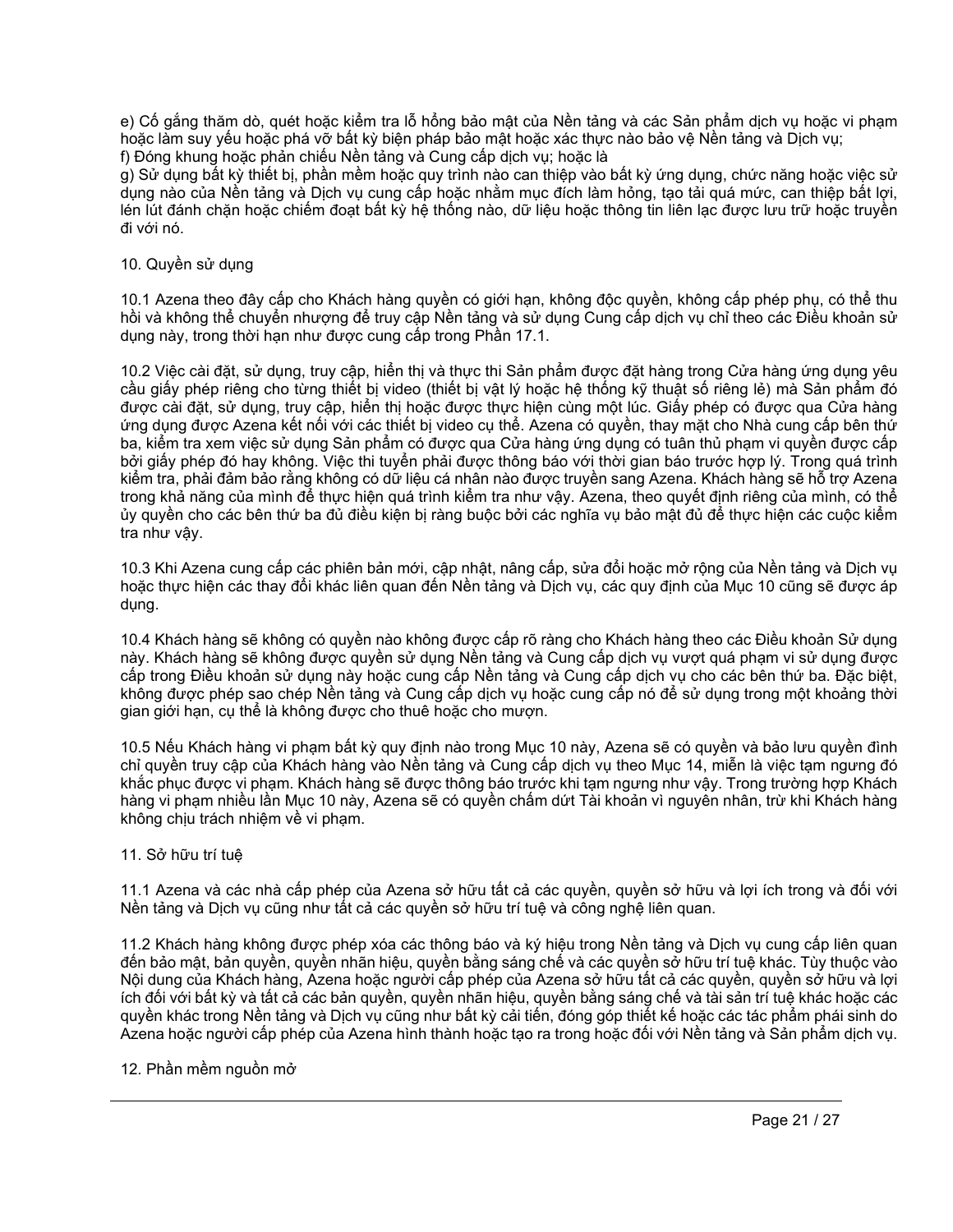e) Cố gắng thăm dò, quét hoặc kiểm tra lỗ hổng bảo mật của Nền tảng và các Sản phẩm dịch vụ hoặc vi phạm hoặc làm suy yếu hoặc phá vỡ bất kỳ biện pháp bảo mật hoặc xác thực nào bảo vệ Nền tảng và Dịch vụ; f) Đóng khung hoặc phản chiếu Nền tảng và Cung cấp dịch vụ; hoặc là

g) Sử dụng bất kỳ thiết bị, phần mềm hoặc quy trình nào can thiệp vào bất kỳ ứng dụng, chức năng hoặc việc sử dụng nào của Nền tảng và Dịch vụ cụng cấp hoặc nhằm mục đích làm hỏng, tạo tải quá mức, can thiệp bất lợi, i lén lút đánh chặn hoặc chiếm đoạt bất kỳ hệ thống nào, dữ liệu hoặc thông tin liên lạc được lưu trữ hoặc truyền đi với nó.

# 10. Quyền sử dụng

10.1 Azena theo đây cấp cho Khách hàng quyền có giới hạn, không độc quyền, không cấp phép phụ, có thể thu hồi và không thể chuyển nhượng để truy cập Nền tảng và sử dụng Cung cấp dịch vụ chỉ theo các Điều khoản sử dụng này, trong thời hạn như được cung cấp trong Phần 17.1.

10.2 Việc cài đặt, sử dụng, truy cập, hiển thị và thực thi Sản phẩm được đặt hàng trong Cửa hàng ứng dụng yêu cầu giấy phép riêng cho từng thiết bị video (thiết bị vật lý hoặc hệ thống kỹ thuật số riêng lẻ) mà Sản phẩm đó được cài đặt, sử dụng, truy cập, hiển thị hoặc được thực hiện cùng một lúc. Giấy phép có được qua Cửa hàng ứng dụng được Azena kết nối với các thiết bị video cụ thể. Azena có quyền, thay mặt cho Nhà cung cấp bên thứ ba, kiểm tra xem việc sử dụng Sản phẩm có được qua Cửa hàng ứng dụng có tuân thủ phạm vi quyền được cấp bởi giấy phép đó hay không. Việc thi tuyển phải được thông báo với thời gian báo trước hợp lý. Trong quá trình kiểm tra, phải đảm bảo rằng không có dữ liệu cá nhân nào được truyền sang Azena. Khách hàng sẽ hỗ trợ Azena trong khả năng của mình để thực hiện quá trình kiểm tra như vậy. Azena, theo quyết định riêng của mình, có thể ủy quyền cho các bên thứ ba đủ điều kiện bị ràng buộc bởi các nghĩa vụ bảo mật đủ để thực hiện các cuộc kiểm tra như vậy.

10.3 Khi Azena cung cấp các phiên bản mới, cập nhật, nâng cấp, sửa đổi hoặc mở rộng của Nền tảng và Dịch vụ hoặc thực hiện các thay đổi khác liên quan đến Nền tảng và Dịch vụ, các quy định của Mục 10 cũng sẽ được áp dụng.

10.4 Khách hàng sẽ không có quyền nào không được cấp rõ ràng cho Khách hàng theo các Điều khoản Sử dụng này. Khách hàng sẽ không được quyền sử dụng Nền tảng và Cung cấp dịch vụ vượt quá phạm vi sử dụng được cấp trong Điều khoản sử dụng này hoặc cung cấp Nền tảng và Cung cấp dịch vụ cho các bên thứ ba. Đặc biệt, không được phép sao chép Nền tảng và Cung cấp dịch vụ hoặc cung cấp nó để sử dụng trong một khoảng thời gian giới hạn, cụ thể là không được cho thuê hoặc cho mượn.

10.5 Nếu Khách hàng vi phạm bất kỳ quy định nào trong Mục 10 này, Azena sẽ có quyền và bảo lưu quyền đình chỉ quyền truy cập của Khách hàng vào Nền tảng và Cung cấp dịch vụ theo Mục 14, miễn là việc tạm ngưng đó khắc phục được vi phạm. Khách hàng sẽ được thông báo trước khi tạm ngưng như vậy. Trong trường hợp Khách hàng vi phạm nhiều lần Mục 10 này, Azena sẽ có quyền chấm dứt Tài khoản vì nguyên nhân, trừ khi Khách hàng không chịu trách nhiệm về vi phạm.

# 11. Sở hữu trí tuệ

11.1 Azena và các nhà cấp phép của Azena sở hữu tất cả các quyền, quyền sở hữu và lợi ích trong và đối với Nền tảng và Dịch vụ cũng như tất cả các quyền sở hữu trí tuệ và công nghệ liên quan.

11.2 Khách hàng không được phép xóa các thông báo và ký hiệu trong Nền tảng và Dịch vụ cung cấp liên quan đến bảo mật, bản quyền, quyền nhãn hiệu, quyền bằng sáng chế và các quyền sở hữu trí tuệ khác. Tùy thuộc vào Nội dung của Khách hàng, Azena hoặc người cấp phép của Azena sở hữu tất cả các quyền, quyền sở hữu và lợi ích đối với bất kỳ và tất cả các bản quyền, quyền nhãn hiệu, quyền bằng sáng chế và tài sản trí tuệ khác hoặc các quyền khác trong Nền tảng và Dịch vụ cũng như bất kỳ cải tiến, đóng góp thiết kế hoặc các tác phẩm phái sinh do Azena hoặc người cấp phép của Azena hình thành hoặc tạo ra trong hoặc đối với Nền tảng và Sản phẩm dịch vụ.

# 12. Phần mềm nguồn mở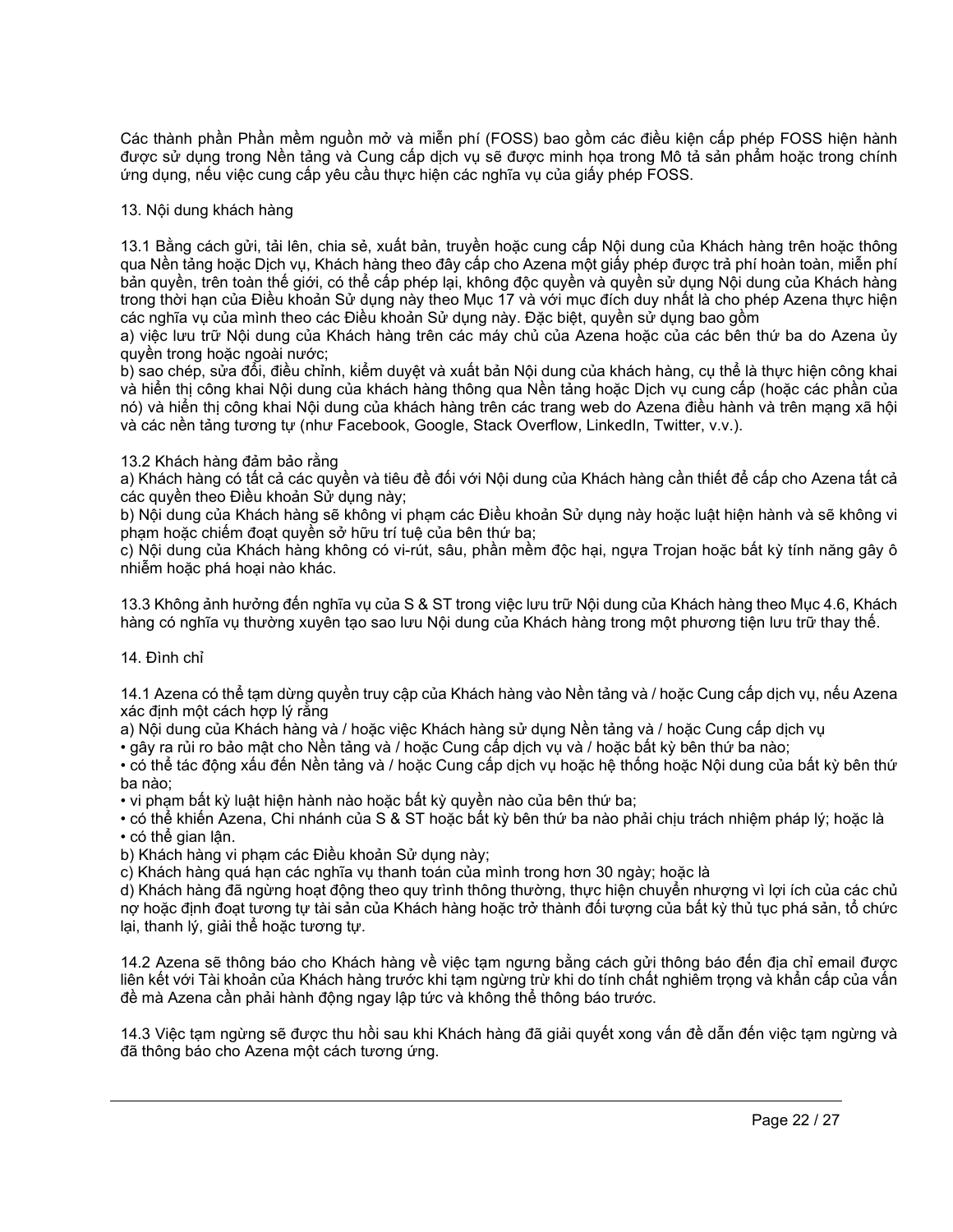Các thành phần Phần mềm nguồn mở và miễn phí (FOSS) bao gồm các điều kiện cấp phép FOSS hiện hành được sử dụng trong Nền tảng và Cung cấp dịch vụ sẽ được minh họa trong Mô tả sản phẩm hoặc trong chính ứng dụng, nếu việc cung cấp yêu cầu thực hiện các nghĩa vụ của giấy phép FOSS.

# 13. Nội dung khách hàng

13.1 Bằng cách gửi, tải lên, chia sẻ, xuất bản, truyền hoặc cung cấp Nội dung của Khách hàng trên hoặc thông qua Nền tảng hoặc Dịch vụ, Khách hàng theo đây cấp cho Azena một giấy phép được trả phí hoàn toàn, miễn phí bản quyền, trên toàn thế giới, có thể cấp phép lại, không độc quyền và quyền sử dụng Nội dung của Khách hàng trong thời hạn của Điều khoản Sử dụng này theo Mục 17 và với mục đích duy nhất là cho phép Azena thực hiện các nghĩa vụ của mình theo các Điều khoản Sử dụng này. Đặc biệt, quyền sử dụng bao gồm

a) việc lưu trữ Nội dung của Khách hàng trên các máy chủ của Azena hoặc của các bên thứ ba do Azena ủy quyền trong hoặc ngoài nước;

b) sao chép, sửa đổi, điều chỉnh, kiểm duyệt và xuất bản Nội dung của khách hàng, cụ thể là thực hiện công khai và hiển thị công khai Nội dung của khách hàng thông qua Nền tảng hoặc Dịch vụ cung cấp (hoặc các phần của nó) và hiển thị công khai Nội dung của khách hàng trên các trang web do Azena điều hành và trên mạng xã hội và các nền tảng tương tự (như Facebook, Google, Stack Overflow, LinkedIn, Twitter, v.v.).

## 13.2 Khách hàng đảm bảo rằng

a) Khách hàng có tất cả các quyền và tiêu đề đối với Nội dung của Khách hàng cần thiết để cấp cho Azena tất cả các quyền theo Điều khoản Sử dụng này;

b) Nội dung của Khách hàng sẽ không vi phạm các Điều khoản Sử dụng này hoặc luật hiện hành và sẽ không vi phạm hoặc chiếm đoạt quyền sở hữu trí tuệ của bên thứ ba;

c) Nội dung của Khách hàng không có vi-rút, sâu, phần mềm độc hại, ngựa Trojan hoặc bất kỳ tính năng gây ô nhiễm hoặc phá hoại nào khác.

13.3 Không ảnh hưởng đến nghĩa vụ của S & ST trong việc lưu trữ Nội dung của Khách hàng theo Mục 4.6, Khách hàng có nghĩa vụ thường xuyên tạo sao lưu Nội dung của Khách hàng trong một phương tiện lưu trữ thay thế.

## 14. Đình chỉ

14.1 Azena có thể tạm dừng quyền truy cập của Khách hàng vào Nền tảng và / hoặc Cung cấp dịch vụ, nếu Azena xác định một cách hợp lý rằng

a) Nội dung của Khách hàng và / hoặc việc Khách hàng sử dụng Nền tảng và / hoặc Cung cấp dịch vụ

• gây ra rủi ro bảo mật cho Nền tảng và / hoặc Cung cấp dịch vụ và / hoặc bất kỳ bên thứ ba nào;

• có thể tác động xấu đến Nền tảng và / hoặc Cung cấp dịch vụ hoặc hệ thống hoặc Nội dung của bất kỳ bên thứ ba nào;

• vi phạm bất kỳ luật hiện hành nào hoặc bất kỳ quyền nào của bên thứ ba;

• có thể khiến Azena, Chi nhánh của S & ST hoặc bất kỳ bên thứ ba nào phải chịu trách nhiệm pháp lý; hoặc là • có thể gian lận.

b) Khách hàng vi phạm các Điều khoản Sử dụng này;

c) Khách hàng quá hạn các nghĩa vụ thanh toán của mình trong hơn 30 ngày; hoặc là

d) Khách hàng đã ngừng hoạt động theo quy trình thông thường, thực hiện chuyển nhượng vì lợi ích của các chủ nợ hoặc định đoạt tương tự tài sản của Khách hàng hoặc trở thành đối tượng của bất kỳ thủ tục phá sản, tổ chức lại, thanh lý, giải thể hoặc tương tự.

14.2 Azena sẽ thông báo cho Khách hàng về việc tạm ngưng bằng cách gửi thông báo đến địa chỉ email được liên kết với Tài khoản của Khách hàng trước khi tạm ngừng trừ khi do tính chất nghiêm trọng và khẩn cấp của vấn đề mà Azena cần phải hành động ngay lập tức và không thể thông báo trước.

14.3 Việc tạm ngừng sẽ được thu hồi sau khi Khách hàng đã giải quyết xong vấn đề dẫn đến việc tạm ngừng và đã thông báo cho Azena một cách tương ứng.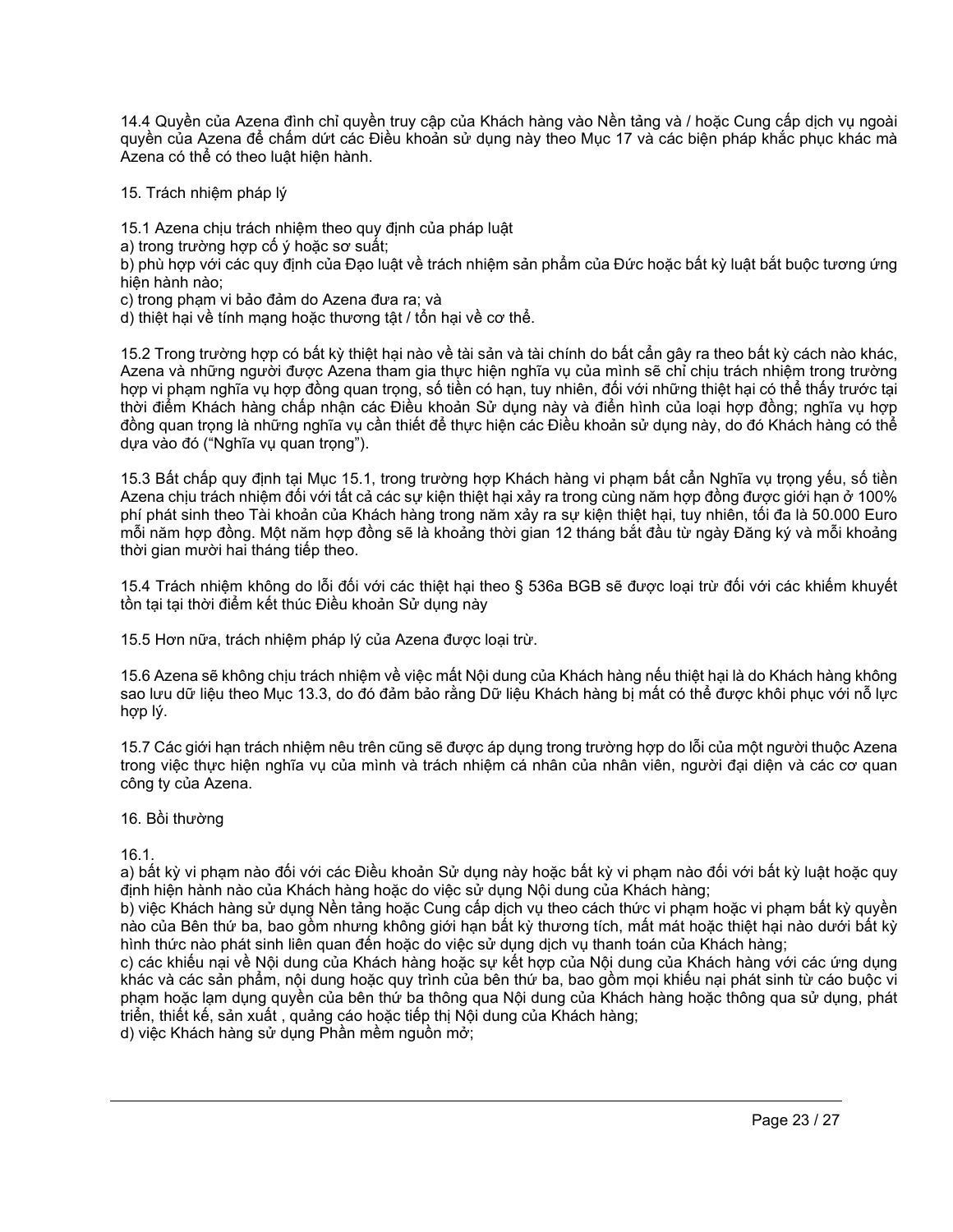14.4 Quyền của Azena đình chỉ quyền truy cập của Khách hàng vào Nền tảng và / hoặc Cung cấp dịch vụ ngoài quyền của Azena để chấm dứt các Điều khoản sử dụng này theo Mục 17 và các biện pháp khắc phục khác mà Azena có thể có theo luật hiện hành.

15. Trách nhiệm pháp lý

15.1 Azena chịu trách nhiệm theo quy định của pháp luật

a) trong trường hợp cố ý hoặc sơ suất;

b) phù hợp với các quy định của Đạo luật về trách nhiệm sản phẩm của Đức hoặc bất kỳ luật bắt buộc tương ứng hiện hành nào;

c) trong phạm vi bảo đảm do Azena đưa ra; và

d) thiệt hại về tính mạng hoặc thương tật / tổn hại về cơ thể.

15.2 Trong trường hợp có bất kỳ thiệt hại nào về tài sản và tài chính do bất cẩn gây ra theo bất kỳ cách nào khác, Azena và những người được Azena tham gia thực hiện nghĩa vụ của mình sẽ chỉ chịu trách nhiệm trong trường hợp vi phạm nghĩa vụ hợp đồng quan trong, số tiền có hạn, tuy nhiên, đối với những thiệt hại có thể thấy trước tại thời điểm Khách hàng chấp nhận các Điều khoản Sử dụng này và điển hình của loại hợp đồng; nghĩa vụ hợp đồng quan trọng là những nghĩa vụ cần thiết để thực hiện các Điều khoản sử dụng này, do đó Khách hàng có thể dựa vào đó ("Nghĩa vụ quan trọng").

15.3 Bất chấp quy định tại Mục 15.1, trong trường hợp Khách hàng vi phạm bất cẩn Nghĩa vụ trọng yếu, số tiền Azena chịu trách nhiệm đối với tất cả các sự kiện thiệt hại xảy ra trong cùng năm hợp đồng được giới hạn ở 100% phí phát sinh theo Tài khoản của Khách hàng trong năm xảy ra sự kiện thiệt hại, tuy nhiên, tối đa là 50.000 Euro mỗi năm hợp đồng. Một năm hợp đồng sẽ là khoảng thời gian 12 tháng bắt đầu từ ngày Đăng ký và mỗi khoảng thời gian mười hai tháng tiếp theo.

15.4 Trách nhiệm không do lỗi đối với các thiệt hại theo § 536a BGB sẽ được loại trừ đối với các khiếm khuyết tồn tại tại thời điểm kết thúc Điều khoản Sử dụng này

15.5 Hơn nữa, trách nhiệm pháp lý của Azena được loại trừ.

15.6 Azena sẽ không chịu trách nhiệm về việc mất Nội dung của Khách hàng nếu thiệt hại là do Khách hàng không sao lưu dữ liệu theo Mục 13.3, do đó đảm bảo rằng Dữ liệu Khách hàng bị mất có thể được khôi phục với nỗ lực hợp lý.

15.7 Các giới hạn trách nhiệm nêu trên cũng sẽ được áp dụng trong trường hợp do lỗi của một người thuộc Azena trong việc thực hiện nghĩa vụ của mình và trách nhiệm cá nhân của nhân viên, người đại diện và các cơ quan công ty của Azena.

## 16. Bồi thường

16.1.

a) bất kỳ vi phạm nào đối với các Điều khoản Sử dụng này hoặc bất kỳ vi phạm nào đối với bất kỳ luật hoặc quy định hiện hành nào của Khách hàng hoặc do việc sử dụng Nội dung của Khách hàng;

b) việc Khách hàng sử dụng Nền tảng hoặc Cung cấp dịch vụ theo cách thức vi phạm hoặc vi phạm bất kỳ quyền nào của Bên thứ ba, bao gồm nhưng không giới hạn bất kỳ thương tích, mất mát hoặc thiệt hại nào dưới bất kỳ hình thức nào phát sinh liên quan đến hoặc do việc sử dụng dịch vụ thanh toán của Khách hàng;

c) các khiếu nại về Nội dung của Khách hàng hoặc sự kết hợp của Nội dung của Khách hàng với các ứng dụng khác và các sản phẩm, nội dung hoặc quy trình của bên thứ ba, bao gồm mọi khiếu nại phát sinh từ cáo buộc vi phạm hoặc lạm dụng quyền của bên thứ ba thông qua Nội dung của Khách hàng hoặc thông qua sử dụng, phát triển, thiết kế, sản xuất , quảng cáo hoặc tiếp thị Nội dung của Khách hàng;

d) việc Khách hàng sử dụng Phần mềm nguồn mở;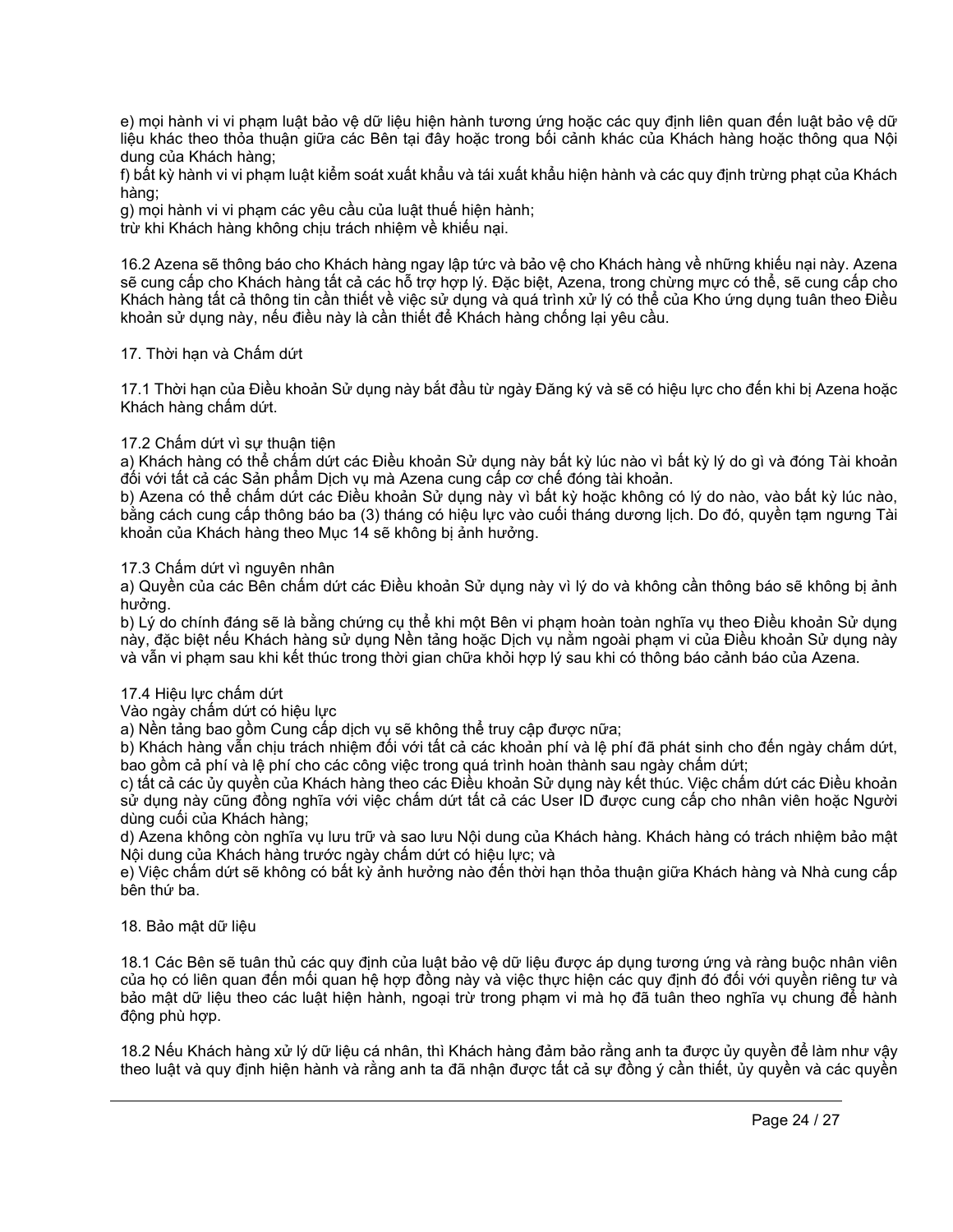e) mọi hành vi vi phạm luật bảo vệ dữ liệu hiện hành tương ứng hoặc các quy định liên quan đến luật bảo vệ dữ liệu khác theo thỏa thuận giữa các Bên tại đây hoặc trong bối cảnh khác của Khách hàng hoặc thông qua Nội dung của Khách hàng;

f) bất kỳ hành vi vi phạm luật kiểm soát xuất khẩu và tái xuất khẩu hiện hành và các quy định trừng phạt của Khách hàng;

g) mọi hành vi vi phạm các yêu cầu của luật thuế hiện hành;

trừ khi Khách hàng không chịu trách nhiệm về khiếu nại.

16.2 Azena sẽ thông báo cho Khách hàng ngay lập tức và bảo vệ cho Khách hàng về những khiếu nại này. Azena sẽ cung cấp cho Khách hàng tất cả các hỗ trợ hợp lý. Đặc biệt, Azena, trong chừng mực có thể, sẽ cung cấp cho Khách hàng tất cả thông tin cần thiết về việc sử dụng và quá trình xử lý có thể của Kho ứng dụng tuân theo Điều khoản sử dụng này, nếu điều này là cần thiết để Khách hàng chống lại yêu cầu.

# 17. Thời hạn và Chấm dứt

17.1 Thời hạn của Điều khoản Sử dụng này bắt đầu từ ngày Đăng ký và sẽ có hiệu lực cho đến khi bị Azena hoặc Khách hàng chấm dứt.

# 17.2 Chấm dứt vì sự thuận tiện

a) Khách hàng có thể chấm dứt các Điều khoản Sử dụng này bất kỳ lúc nào vì bất kỳ lý do gì và đóng Tài khoản đối với tất cả các Sản phẩm Dịch vụ mà Azena cung cấp cơ chế đóng tài khoản.

b) Azena có thể chấm dứt các Điều khoản Sử dụng này vì bất kỳ hoặc không có lý do nào, vào bất kỳ lúc nào, bằng cách cung cấp thông báo ba (3) tháng có hiệu lực vào cuối tháng dương lịch. Do đó, quyền tam ngưng Tài khoản của Khách hàng theo Mục 14 sẽ không bị ảnh hưởng.

# 17.3 Chấm dứt vì nguyên nhân

a) Quyền của các Bên chấm dứt các Điều khoản Sử dụng này vì lý do và không cần thông báo sẽ không bị ảnh hưởng.

b) Lý do chính đáng sẽ là bằng chứng cụ thể khi một Bên vi phạm hoàn toàn nghĩa vụ theo Điều khoản Sử dụng này, đặc biệt nếu Khách hàng sử dụng Nền tảng hoặc Dịch vụ nằm ngoài phạm vi của Điều khoản Sử dụng này và vẫn vi phạm sau khi kết thúc trong thời gian chữa khỏi hợp lý sau khi có thông báo cảnh báo của Azena.

## 17.4 Hiệu lực chấm dứt

Vào ngày chấm dứt có hiệu lực

a) Nền tảng bao gồm Cung cấp dịch vụ sẽ không thể truy cập được nữa;

b) Khách hàng vẫn chịu trách nhiệm đối với tất cả các khoản phí và lệ phí đã phát sinh cho đến ngày chấm dứt, bao gồm cả phí và lệ phí cho các công việc trong quá trình hoàn thành sau ngày chấm dứt;

c) tất cả các ủy quyền của Khách hàng theo các Điều khoản Sử dụng này kết thúc. Việc chấm dứt các Điều khoản sử dụng này cũng đồng nghĩa với việc chấm dứt tất cả các User ID được cung cấp cho nhân viên hoặc Người dùng cuối của Khách hàng;

d) Azena không còn nghĩa vụ lưu trữ và sao lưu Nội dung của Khách hàng. Khách hàng có trách nhiệm bảo mật Nội dung của Khách hàng trước ngày chấm dứt có hiệu lực; và

e) Việc chấm dứt sẽ không có bất kỳ ảnh hưởng nào đến thời hạn thỏa thuận giữa Khách hàng và Nhà cung cấp bên thứ ba.

## 18. Bảo mật dữ liệu

18.1 Các Bên sẽ tuân thủ các quy định của luật bảo vệ dữ liệu được áp dụng tương ứng và ràng buộc nhân viên của họ có liên quan đến mối quan hệ hợp đồng này và việc thực hiện các quy định đó đối với quyền riêng tư và bảo mật dữ liệu theo các luật hiện hành, ngoại trừ trong phạm vi mà họ đã tuân theo nghĩa vụ chung để hành động phù hợp.

18.2 Nếu Khách hàng xử lý dữ liệu cá nhân, thì Khách hàng đảm bảo rằng anh ta được ủy quyền để làm như vậy theo luật và quy định hiện hành và rằng anh ta đã nhận được tất cả sự đồng ý cần thiết, ủy quyền và các quyền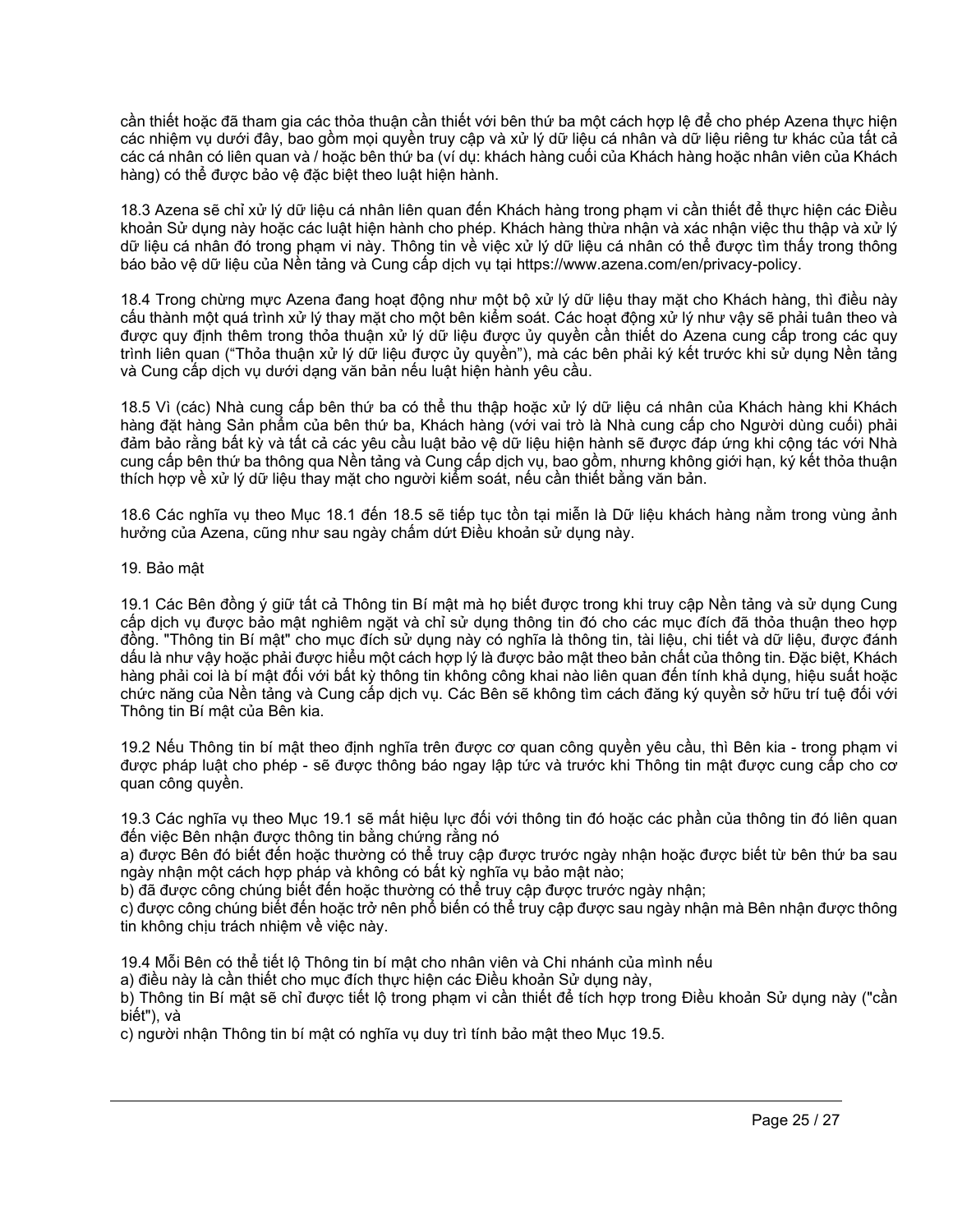cần thiết hoặc đã tham gia các thỏa thuận cần thiết với bên thứ ba một cách hợp lệ để cho phép Azena thực hiện các nhiệm vụ dưới đây, bao gồm mọi quyền truy cập và xử lý dữ liệu cá nhân và dữ liệu riêng tư khác của tất cả các cá nhân có liên quan và / hoặc bên thứ ba (ví dụ: khách hàng cuối của Khách hàng hoặc nhân viên của Khách hàng) có thể được bảo vệ đặc biệt theo luật hiện hành.

18.3 Azena sẽ chỉ xử lý dữ liệu cá nhân liên quan đến Khách hàng trong phạm vi cần thiết để thực hiện các Điều khoản Sử dụng này hoặc các luật hiện hành cho phép. Khách hàng thừa nhận và xác nhận việc thu thập và xử lý dữ liệu cá nhân đó trong phạm vi này. Thông tin về việc xử lý dữ liệu cá nhân có thể được tìm thấy trong thông báo bảo vệ dữ liệu của Nền tảng và Cung cấp dịch vụ tại https://www.azena.com/en/privacy-policy.

18.4 Trong chừng mực Azena đang hoạt động như một bộ xử lý dữ liệu thay mặt cho Khách hàng, thì điều này cấu thành một quá trình xử lý thay mặt cho một bên kiểm soát. Các hoạt động xử lý như vậy sẽ phải tuân theo và được quy định thêm trong thỏa thuận xử lý dữ liệu được ủy quyền cần thiết do Azena cung cấp trong các quy trình liên quan ("Thỏa thuận xử lý dữ liệu được ủy quyền"), mà các bên phải ký kết trước khi sử dụng Nền tảng và Cung cấp dịch vụ dưới dạng văn bản nếu luật hiện hành yêu cầu.

18.5 Vì (các) Nhà cung cấp bên thứ ba có thể thu thập hoặc xử lý dữ liệu cá nhân của Khách hàng khi Khách hàng đặt hàng Sản phẩm của bên thứ ba, Khách hàng (với vai trò là Nhà cung cấp cho Người dùng cuối) phải đảm bảo rằng bất kỳ và tất cả các yêu cầu luật bảo vệ dữ liệu hiện hành sẽ được đáp ứng khi cộng tác với Nhà cung cấp bên thứ ba thông qua Nền tảng và Cung cấp dịch vụ, bao gồm, nhưng không giới hạn, ký kết thỏa thuận thích hợp về xử lý dữ liệu thay mặt cho người kiểm soát, nếu cần thiết bằng văn bản.

18.6 Các nghĩa vụ theo Mục 18.1 đến 18.5 sẽ tiếp tục tồn tại miễn là Dữ liệu khách hàng nằm trong vùng ảnh hưởng của Azena, cũng như sau ngày chấm dứt Điều khoản sử dụng này.

19. Bảo mật

19.1 Các Bên đồng ý giữ tất cả Thông tin Bí mật mà họ biết được trong khi truy cập Nền tảng và sử dụng Cung cấp dịch vụ được bảo mật nghiêm ngặt và chỉ sử dụng thông tin đó cho các mục đích đã thỏa thuận theo hợp đồng. "Thông tin Bí mật" cho mục đích sử dụng này có nghĩa là thông tin, tài liệu, chi tiết và dữ liệu, được đánh dấu là như vậy hoặc phải được hiểu một cách hợp lý là được bảo mật theo bản chất của thông tin. Đặc biệt, Khách hàng phải coi là bí mật đối với bất kỳ thông tin không công khai nào liên quan đến tính khả dụng, hiệu suất hoặc chức năng của Nền tảng và Cung cấp dịch vụ. Các Bên sẽ không tìm cách đăng ký quyền sở hữu trí tuệ đối với Thông tin Bí mật của Bên kia.

19.2 Nếu Thông tin bí mật theo định nghĩa trên được cơ quan công quyền yêu cầu, thì Bên kia - trong phạm vi được pháp luật cho phép - sẽ được thông báo ngay lập tức và trước khi Thông tin mật được cung cấp cho cơ quan công quyền.

19.3 Các nghĩa vụ theo Mục 19.1 sẽ mất hiệu lực đối với thông tin đó hoặc các phần của thông tin đó liên quan đến việc Bên nhận được thông tin bằng chứng rằng nó

a) được Bên đó biết đến hoặc thường có thể truy cập được trước ngày nhận hoặc được biết từ bên thứ ba sau ngày nhận một cách hợp pháp và không có bất kỳ nghĩa vụ bảo mật nào;

b) đã được công chúng biết đến hoặc thường có thể truy cập được trước ngày nhận;

c) được công chúng biết đến hoặc trở nên phổ biến có thể truy cập được sau ngày nhận mà Bên nhận được thông tin không chịu trách nhiệm về việc này.

19.4 Mỗi Bên có thể tiết lộ Thông tin bí mật cho nhân viên và Chi nhánh của mình nếu

a) điều này là cần thiết cho mục đích thực hiện các Điều khoản Sử dụng này,

b) Thông tin Bí mật sẽ chỉ được tiết lộ trong phạm vi cần thiết để tích hợp trong Điều khoản Sử dụng này ("cần biết"), và

c) người nhận Thông tin bí mật có nghĩa vụ duy trì tính bảo mật theo Mục 19.5.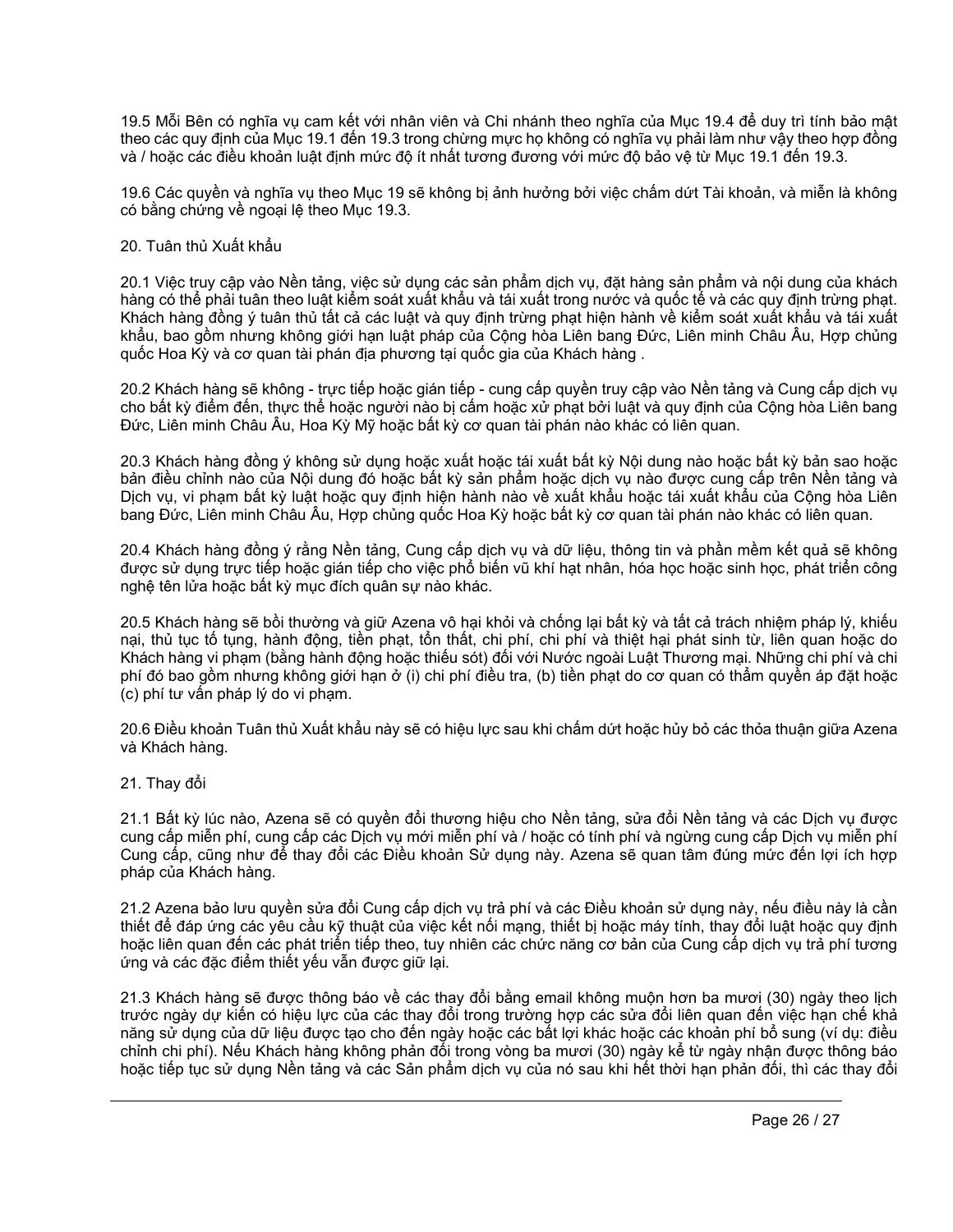19.5 Mỗi Bên có nghĩa vụ cam kết với nhân viên và Chi nhánh theo nghĩa của Mục 19.4 để duy trì tính bảo mật theo các quy định của Mục 19.1 đến 19.3 trong chừng mực họ không có nghĩa vụ phải làm như vậy theo hợp đồng và / hoặc các điều khoản luật định mức độ ít nhất tương đương với mức độ bảo vệ từ Mục 19.1 đến 19.3.

19.6 Các quyền và nghĩa vụ theo Mục 19 sẽ không bị ảnh hưởng bởi việc chấm dứt Tài khoản, và miễn là không có bằng chứng về ngoại lệ theo Mục 19.3.

# 20. Tuân thủ Xuất khẩu

20.1 Việc truy cập vào Nền tảng, việc sử dụng các sản phẩm dịch vụ, đặt hàng sản phẩm và nội dung của khách hàng có thể phải tuân theo luật kiểm soát xuất khẩu và tái xuất trong nước và quốc tế và các quy định trừng phạt. Khách hàng đồng ý tuân thủ tất cả các luật và quy định trừng phạt hiện hành về kiểm soát xuất khẩu và tái xuất khẩu, bao gồm nhưng không giới hạn luật pháp của Cộng hòa Liên bang Đức, Liên minh Châu Âu, Hợp chủng quốc Hoa Kỳ và cơ quan tài phán địa phương tại quốc gia của Khách hàng .

20.2 Khách hàng sẽ không - trực tiếp hoặc gián tiếp - cung cấp quyền truy cập vào Nền tảng và Cung cấp dịch vụ cho bất kỳ điểm đến, thực thể hoặc người nào bị cấm hoặc xử phạt bởi luật và quy định của Cộng hòa Liên bang Đức, Liên minh Châu Âu, Hoa Kỳ Mỹ hoặc bất kỳ cơ quan tài phán nào khác có liên quan.

20.3 Khách hàng đồng ý không sử dụng hoặc xuất hoặc tái xuất bất kỳ Nội dung nào hoặc bất kỳ bản sao hoặc bản điều chỉnh nào của Nội dung đó hoặc bất kỳ sản phẩm hoặc dịch vụ nào được cung cấp trên Nền tảng và Dịch vụ, vi phạm bất kỳ luật hoặc quy định hiện hành nào về xuất khẩu hoặc tái xuất khẩu của Cộng hòa Liên bang Đức, Liên minh Châu Âu, Hợp chủng quốc Hoa Kỳ hoặc bất kỳ cơ quan tài phán nào khác có liên quan.

20.4 Khách hàng đồng ý rằng Nền tảng, Cung cấp dịch vụ và dữ liệu, thông tin và phần mềm kết quả sẽ không được sử dụng trực tiếp hoặc gián tiếp cho việc phổ biến vũ khí hạt nhân, hóa học hoặc sinh học, phát triển công nghệ tên lửa hoặc bất kỳ mục đích quân sự nào khác.

20.5 Khách hàng sẽ bồi thường và giữ Azena vô hại khỏi và chống lại bất kỳ và tất cả trách nhiệm pháp lý, khiếu nại, thủ tục tố tụng, hành động, tiền phạt, tổn thất, chi phí, chi phí và thiệt hại phát sinh từ, liên quan hoặc do Khách hàng vi phạm (bằng hành động hoặc thiếu sót) đối với Nước ngoài Luật Thương mại. Những chi phí và chi phí đó bao gồm nhưng không giới hạn ở (i) chi phí điều tra, (b) tiền phạt do cơ quan có thẩm quyền áp đặt hoặc (c) phí tư vấn pháp lý do vi phạm.

20.6 Điều khoản Tuân thủ Xuất khẩu này sẽ có hiệu lực sau khi chấm dứt hoặc hủy bỏ các thỏa thuận giữa Azena và Khách hàng.

21. Thay đổi

21.1 Bất kỳ lúc nào, Azena sẽ có quyền đổi thương hiệu cho Nền tảng, sửa đổi Nền tảng và các Dịch vụ được cung cấp miễn phí, cung cấp các Dịch vụ mới miễn phí và / hoặc có tính phí và ngừng cung cấp Dịch vụ miễn phí Cung cấp, cũng như để thay đổi các Điều khoản Sử dụng này. Azena sẽ quan tâm đúng mức đến lợi ích hợp pháp của Khách hàng.

21.2 Azena bảo lưu quyền sửa đổi Cung cấp dịch vụ trả phí và các Điều khoản sử dụng này, nếu điều này là cần thiết để đáp ứng các yêu cầu kỹ thuật của việc kết nối mạng, thiết bị hoặc máy tính, thay đổi luật hoặc quy định hoặc liên quan đến các phát triển tiếp theo, tuy nhiên các chức năng cơ bản của Cung cấp dịch vụ trả phí tương ứng và các đặc điểm thiết yếu vẫn được giữ lại.

21.3 Khách hàng sẽ được thông báo về các thay đổi bằng email không muộn hơn ba mươi (30) ngày theo lịch trước ngày dự kiến có hiệu lực của các thay đổi trong trường hợp các sửa đổi liên quan đến việc hạn chế khả năng sử dụng của dữ liệu được tạo cho đến ngày hoặc các bất lợi khác hoặc các khoản phí bổ sung (ví dụ: điều chỉnh chi phí). Nếu Khách hàng không phản đối trong vòng ba mươi (30) ngày kể từ ngày nhận được thông báo hoặc tiếp tục sử dụng Nền tảng và các Sản phẩm dịch vụ của nó sau khi hết thời hạn phản đối, thì các thay đổi